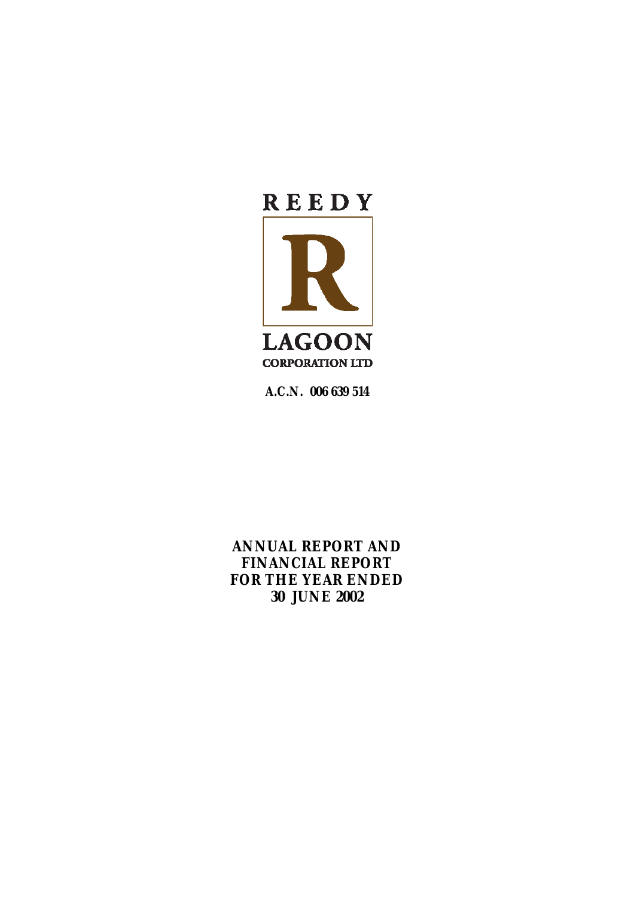

**A.C.N. 006 639 514** 

**ANNUAL REPORT AND FINANCIAL REPORT FOR THE YEAR ENDED 30 JUNE 2002**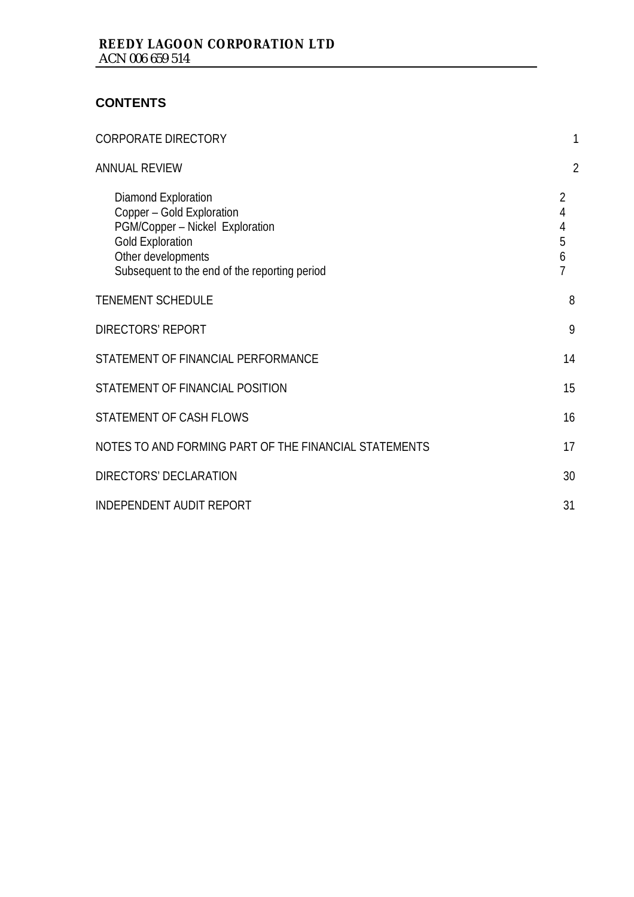# **CONTENTS**

| <b>CORPORATE DIRECTORY</b>                                                                                                                                                            |                            |
|---------------------------------------------------------------------------------------------------------------------------------------------------------------------------------------|----------------------------|
| <b>ANNUAL REVIEW</b>                                                                                                                                                                  | $\overline{2}$             |
| Diamond Exploration<br>Copper - Gold Exploration<br>PGM/Copper - Nickel Exploration<br><b>Gold Exploration</b><br>Other developments<br>Subsequent to the end of the reporting period | 2<br>4<br>4<br>5<br>6<br>7 |
| <b>TENEMENT SCHEDULE</b>                                                                                                                                                              | 8                          |
| <b>DIRECTORS' REPORT</b>                                                                                                                                                              | 9                          |
| STATEMENT OF FINANCIAL PERFORMANCE                                                                                                                                                    | 14                         |
| STATEMENT OF FINANCIAL POSITION                                                                                                                                                       | 15                         |
| STATEMENT OF CASH FLOWS                                                                                                                                                               | 16                         |
| NOTES TO AND FORMING PART OF THE FINANCIAL STATEMENTS                                                                                                                                 | 17                         |
| DIRECTORS' DECLARATION                                                                                                                                                                | 30                         |
| <b>INDEPENDENT AUDIT REPORT</b>                                                                                                                                                       | 31                         |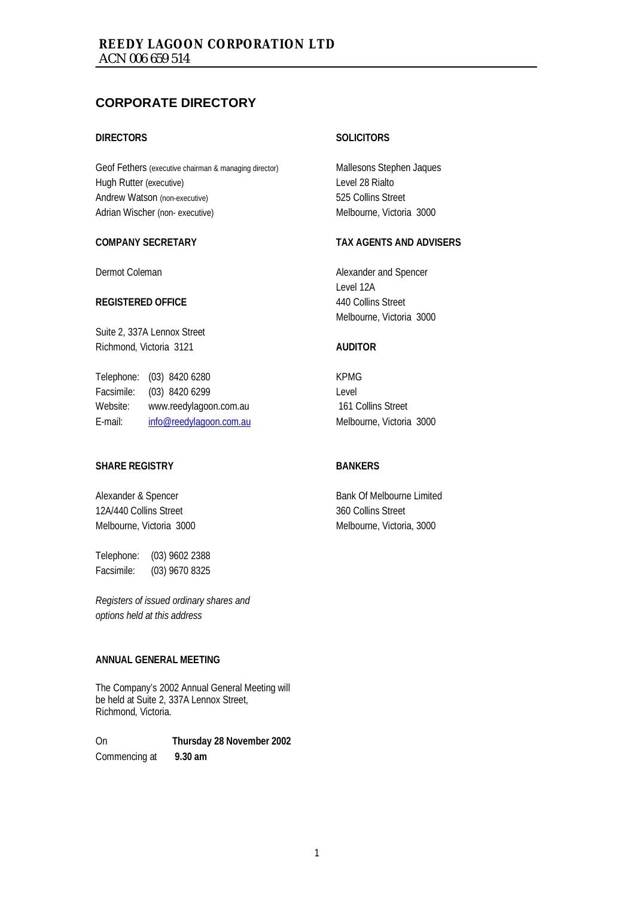## **CORPORATE DIRECTORY**

#### **DIRECTORS**

Geof Fethers (executive chairman & managing director) Hugh Rutter (executive) Andrew Watson (non-executive) Adrian Wischer (non- executive)

#### **COMPANY SECRETARY**

Dermot Coleman

#### **REGISTERED OFFICE**

Suite 2, 337A Lennox Street Richmond, Victoria 3121

Telephone: (03) 8420 6280 Facsimile: (03) 8420 6299 Website: www.reedylagoon.com.au E-mail: info@reedylagoon.com.au

#### **SHARE REGISTRY**

Alexander & Spencer 12A/440 Collins Street Melbourne, Victoria 3000

Telephone: (03) 9602 2388 Facsimile: (03) 9670 8325

*Registers of issued ordinary shares and options held at this address* 

#### **ANNUAL GENERAL MEETING**

The Company's 2002 Annual General Meeting will be held at Suite 2, 337A Lennox Street, Richmond, Victoria.

On **Thursday 28 November 2002** Commencing at **9.30 am** 

#### **SOLICITORS**

Mallesons Stephen Jaques Level 28 Rialto 525 Collins Street Melbourne, Victoria 3000

#### **TAX AGENTS AND ADVISERS**

Alexander and Spencer Level 12A 440 Collins Street Melbourne, Victoria 3000

#### **AUDITOR**

KPMG Level 161 Collins Street Melbourne, Victoria 3000

#### **BANKERS**

Bank Of Melbourne Limited 360 Collins Street Melbourne, Victoria, 3000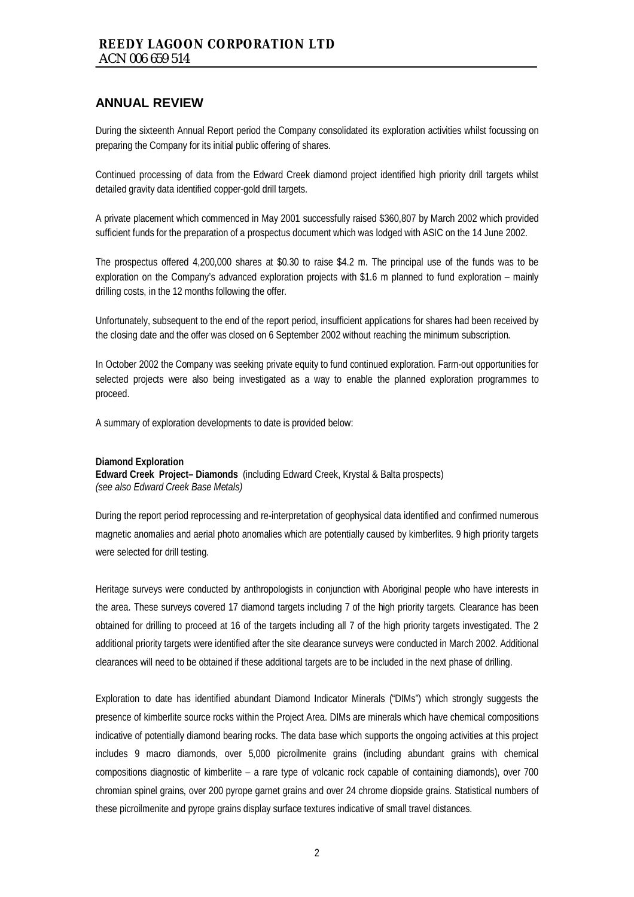During the sixteenth Annual Report period the Company consolidated its exploration activities whilst focussing on preparing the Company for its initial public offering of shares.

Continued processing of data from the Edward Creek diamond project identified high priority drill targets whilst detailed gravity data identified copper-gold drill targets.

A private placement which commenced in May 2001 successfully raised \$360,807 by March 2002 which provided sufficient funds for the preparation of a prospectus document which was lodged with ASIC on the 14 June 2002.

The prospectus offered 4,200,000 shares at \$0.30 to raise \$4.2 m. The principal use of the funds was to be exploration on the Company's advanced exploration projects with \$1.6 m planned to fund exploration – mainly drilling costs, in the 12 months following the offer.

Unfortunately, subsequent to the end of the report period, insufficient applications for shares had been received by the closing date and the offer was closed on 6 September 2002 without reaching the minimum subscription.

In October 2002 the Company was seeking private equity to fund continued exploration. Farm-out opportunities for selected projects were also being investigated as a way to enable the planned exploration programmes to proceed.

A summary of exploration developments to date is provided below:

#### **Diamond Exploration**

**Edward Creek Project– Diamonds** (including Edward Creek, Krystal & Balta prospects) *(see also Edward Creek Base Metals)* 

During the report period reprocessing and re-interpretation of geophysical data identified and confirmed numerous magnetic anomalies and aerial photo anomalies which are potentially caused by kimberlites. 9 high priority targets were selected for drill testing.

Heritage surveys were conducted by anthropologists in conjunction with Aboriginal people who have interests in the area. These surveys covered 17 diamond targets including 7 of the high priority targets. Clearance has been obtained for drilling to proceed at 16 of the targets including all 7 of the high priority targets investigated. The 2 additional priority targets were identified after the site clearance surveys were conducted in March 2002. Additional clearances will need to be obtained if these additional targets are to be included in the next phase of drilling.

Exploration to date has identified abundant Diamond Indicator Minerals ("DIMs") which strongly suggests the presence of kimberlite source rocks within the Project Area. DIMs are minerals which have chemical compositions indicative of potentially diamond bearing rocks. The data base which supports the ongoing activities at this project includes 9 macro diamonds, over 5,000 picroilmenite grains (including abundant grains with chemical compositions diagnostic of kimberlite – a rare type of volcanic rock capable of containing diamonds), over 700 chromian spinel grains, over 200 pyrope garnet grains and over 24 chrome diopside grains. Statistical numbers of these picroilmenite and pyrope grains display surface textures indicative of small travel distances.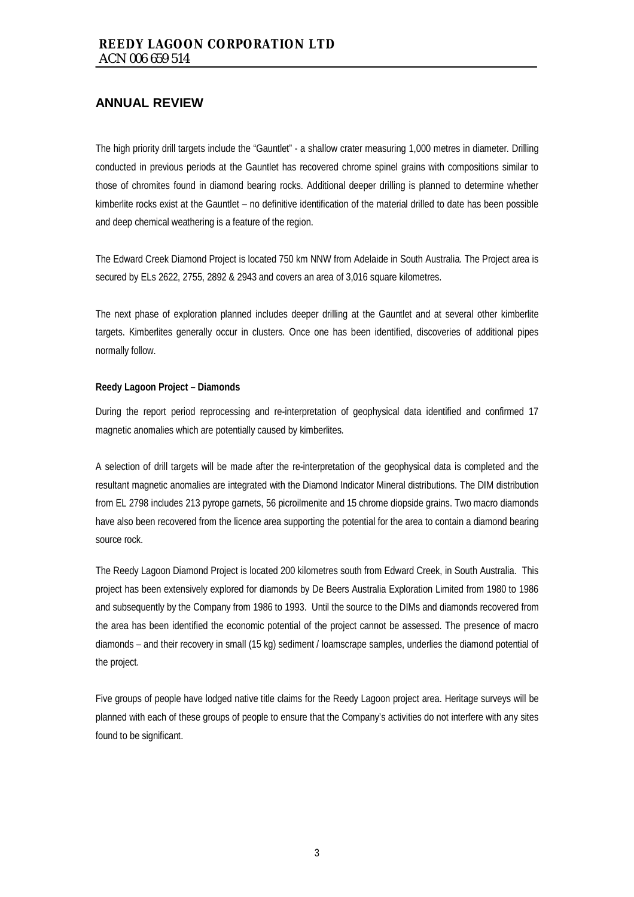The high priority drill targets include the "Gauntlet" - a shallow crater measuring 1,000 metres in diameter. Drilling conducted in previous periods at the Gauntlet has recovered chrome spinel grains with compositions similar to those of chromites found in diamond bearing rocks. Additional deeper drilling is planned to determine whether kimberlite rocks exist at the Gauntlet – no definitive identification of the material drilled to date has been possible and deep chemical weathering is a feature of the region.

The Edward Creek Diamond Project is located 750 km NNW from Adelaide in South Australia. The Project area is secured by ELs 2622, 2755, 2892 & 2943 and covers an area of 3,016 square kilometres.

The next phase of exploration planned includes deeper drilling at the Gauntlet and at several other kimberlite targets. Kimberlites generally occur in clusters. Once one has been identified, discoveries of additional pipes normally follow.

#### **Reedy Lagoon Project – Diamonds**

During the report period reprocessing and re-interpretation of geophysical data identified and confirmed 17 magnetic anomalies which are potentially caused by kimberlites.

A selection of drill targets will be made after the re-interpretation of the geophysical data is completed and the resultant magnetic anomalies are integrated with the Diamond Indicator Mineral distributions. The DIM distribution from EL 2798 includes 213 pyrope garnets, 56 picroilmenite and 15 chrome diopside grains. Two macro diamonds have also been recovered from the licence area supporting the potential for the area to contain a diamond bearing source rock.

The Reedy Lagoon Diamond Project is located 200 kilometres south from Edward Creek, in South Australia. This project has been extensively explored for diamonds by De Beers Australia Exploration Limited from 1980 to 1986 and subsequently by the Company from 1986 to 1993. Until the source to the DIMs and diamonds recovered from the area has been identified the economic potential of the project cannot be assessed. The presence of macro diamonds – and their recovery in small (15 kg) sediment / loamscrape samples, underlies the diamond potential of the project.

Five groups of people have lodged native title claims for the Reedy Lagoon project area. Heritage surveys will be planned with each of these groups of people to ensure that the Company's activities do not interfere with any sites found to be significant.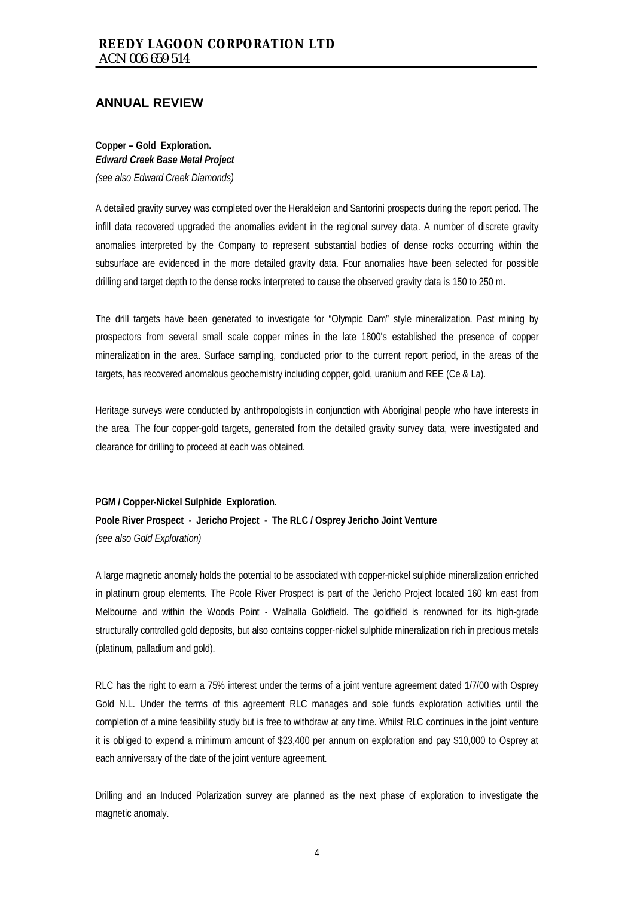**Copper – Gold Exploration.**  *Edward Creek Base Metal Project (see also Edward Creek Diamonds)* 

A detailed gravity survey was completed over the Herakleion and Santorini prospects during the report period. The infill data recovered upgraded the anomalies evident in the regional survey data. A number of discrete gravity anomalies interpreted by the Company to represent substantial bodies of dense rocks occurring within the subsurface are evidenced in the more detailed gravity data. Four anomalies have been selected for possible drilling and target depth to the dense rocks interpreted to cause the observed gravity data is 150 to 250 m.

The drill targets have been generated to investigate for "Olympic Dam" style mineralization. Past mining by prospectors from several small scale copper mines in the late 1800's established the presence of copper mineralization in the area. Surface sampling, conducted prior to the current report period, in the areas of the targets, has recovered anomalous geochemistry including copper, gold, uranium and REE (Ce & La).

Heritage surveys were conducted by anthropologists in conjunction with Aboriginal people who have interests in the area. The four copper-gold targets, generated from the detailed gravity survey data, were investigated and clearance for drilling to proceed at each was obtained.

**PGM / Copper-Nickel Sulphide Exploration.**

**Poole River Prospect - Jericho Project - The RLC / Osprey Jericho Joint Venture**  *(see also Gold Exploration)* 

A large magnetic anomaly holds the potential to be associated with copper-nickel sulphide mineralization enriched in platinum group elements. The Poole River Prospect is part of the Jericho Project located 160 km east from Melbourne and within the Woods Point - Walhalla Goldfield. The goldfield is renowned for its high-grade structurally controlled gold deposits, but also contains copper-nickel sulphide mineralization rich in precious metals (platinum, palladium and gold).

RLC has the right to earn a 75% interest under the terms of a joint venture agreement dated 1/7/00 with Osprey Gold N.L. Under the terms of this agreement RLC manages and sole funds exploration activities until the completion of a mine feasibility study but is free to withdraw at any time. Whilst RLC continues in the joint venture it is obliged to expend a minimum amount of \$23,400 per annum on exploration and pay \$10,000 to Osprey at each anniversary of the date of the joint venture agreement.

Drilling and an Induced Polarization survey are planned as the next phase of exploration to investigate the magnetic anomaly.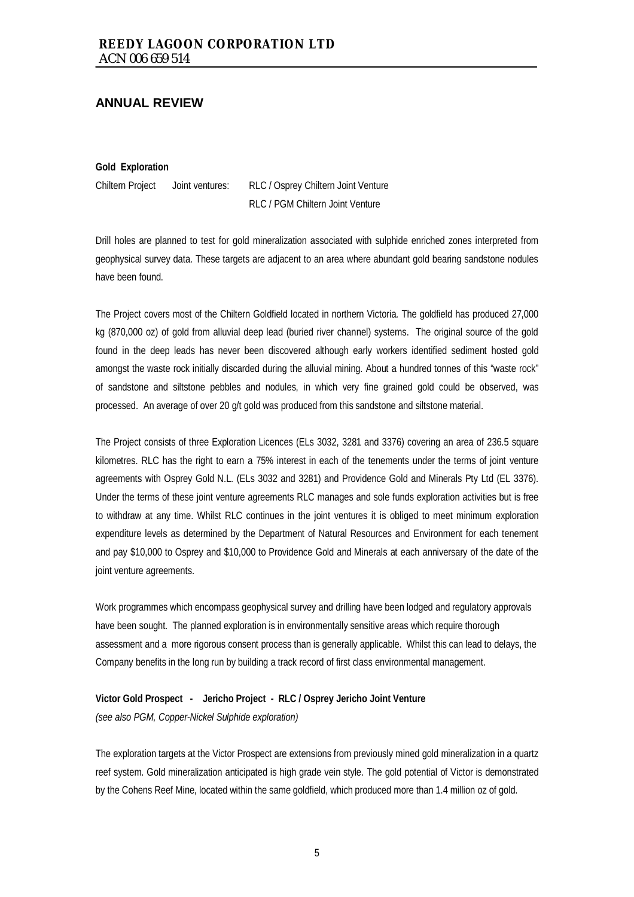**Gold Exploration** 

Chiltern Project Joint ventures: RLC / Osprey Chiltern Joint Venture RLC / PGM Chiltern Joint Venture

Drill holes are planned to test for gold mineralization associated with sulphide enriched zones interpreted from geophysical survey data. These targets are adjacent to an area where abundant gold bearing sandstone nodules have been found.

The Project covers most of the Chiltern Goldfield located in northern Victoria. The goldfield has produced 27,000 kg (870,000 oz) of gold from alluvial deep lead (buried river channel) systems. The original source of the gold found in the deep leads has never been discovered although early workers identified sediment hosted gold amongst the waste rock initially discarded during the alluvial mining. About a hundred tonnes of this "waste rock" of sandstone and siltstone pebbles and nodules, in which very fine grained gold could be observed, was processed. An average of over 20 g/t gold was produced from this sandstone and siltstone material.

The Project consists of three Exploration Licences (ELs 3032, 3281 and 3376) covering an area of 236.5 square kilometres. RLC has the right to earn a 75% interest in each of the tenements under the terms of joint venture agreements with Osprey Gold N.L. (ELs 3032 and 3281) and Providence Gold and Minerals Pty Ltd (EL 3376). Under the terms of these joint venture agreements RLC manages and sole funds exploration activities but is free to withdraw at any time. Whilst RLC continues in the joint ventures it is obliged to meet minimum exploration expenditure levels as determined by the Department of Natural Resources and Environment for each tenement and pay \$10,000 to Osprey and \$10,000 to Providence Gold and Minerals at each anniversary of the date of the joint venture agreements.

Work programmes which encompass geophysical survey and drilling have been lodged and regulatory approvals have been sought. The planned exploration is in environmentally sensitive areas which require thorough assessment and a more rigorous consent process than is generally applicable. Whilst this can lead to delays, the Company benefits in the long run by building a track record of first class environmental management.

#### **Victor Gold Prospect - Jericho Project - RLC / Osprey Jericho Joint Venture**

*(see also PGM, Copper-Nickel Sulphide exploration)* 

The exploration targets at the Victor Prospect are extensions from previously mined gold mineralization in a quartz reef system. Gold mineralization anticipated is high grade vein style. The gold potential of Victor is demonstrated by the Cohens Reef Mine, located within the same goldfield, which produced more than 1.4 million oz of gold.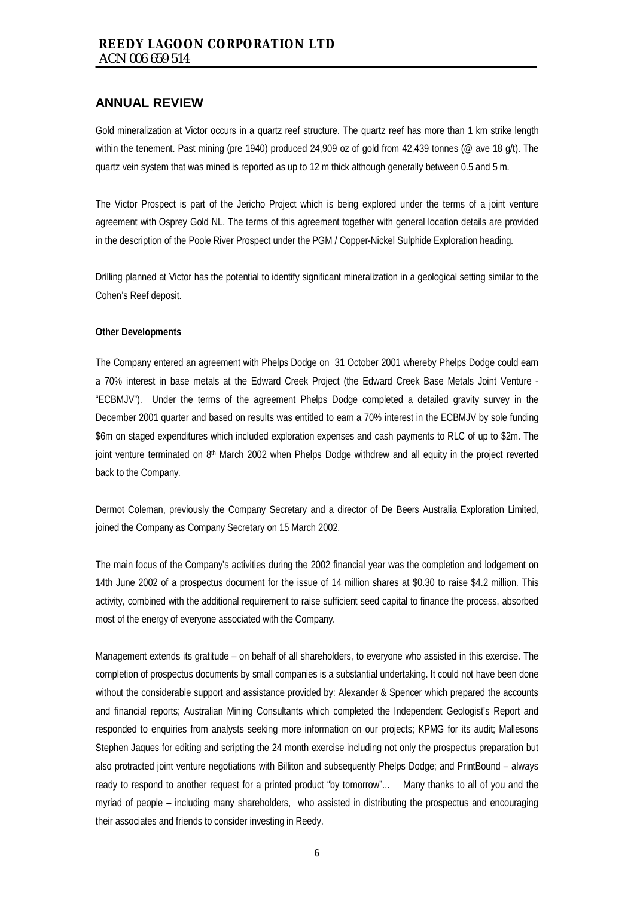Gold mineralization at Victor occurs in a quartz reef structure. The quartz reef has more than 1 km strike length within the tenement. Past mining (pre 1940) produced 24,909 oz of gold from 42,439 tonnes (@ ave 18 g/t). The quartz vein system that was mined is reported as up to 12 m thick although generally between 0.5 and 5 m.

The Victor Prospect is part of the Jericho Project which is being explored under the terms of a joint venture agreement with Osprey Gold NL. The terms of this agreement together with general location details are provided in the description of the Poole River Prospect under the PGM / Copper-Nickel Sulphide Exploration heading.

Drilling planned at Victor has the potential to identify significant mineralization in a geological setting similar to the Cohen's Reef deposit.

#### **Other Developments**

The Company entered an agreement with Phelps Dodge on 31 October 2001 whereby Phelps Dodge could earn a 70% interest in base metals at the Edward Creek Project (the Edward Creek Base Metals Joint Venture - "ECBMJV"). Under the terms of the agreement Phelps Dodge completed a detailed gravity survey in the December 2001 quarter and based on results was entitled to earn a 70% interest in the ECBMJV by sole funding \$6m on staged expenditures which included exploration expenses and cash payments to RLC of up to \$2m. The joint venture terminated on 8<sup>th</sup> March 2002 when Phelps Dodge withdrew and all equity in the project reverted back to the Company.

Dermot Coleman, previously the Company Secretary and a director of De Beers Australia Exploration Limited, joined the Company as Company Secretary on 15 March 2002.

The main focus of the Company's activities during the 2002 financial year was the completion and lodgement on 14th June 2002 of a prospectus document for the issue of 14 million shares at \$0.30 to raise \$4.2 million. This activity, combined with the additional requirement to raise sufficient seed capital to finance the process, absorbed most of the energy of everyone associated with the Company.

Management extends its gratitude – on behalf of all shareholders, to everyone who assisted in this exercise. The completion of prospectus documents by small companies is a substantial undertaking. It could not have been done without the considerable support and assistance provided by: Alexander & Spencer which prepared the accounts and financial reports; Australian Mining Consultants which completed the Independent Geologist's Report and responded to enquiries from analysts seeking more information on our projects; KPMG for its audit; Mallesons Stephen Jaques for editing and scripting the 24 month exercise including not only the prospectus preparation but also protracted joint venture negotiations with Billiton and subsequently Phelps Dodge; and PrintBound – always ready to respond to another request for a printed product "by tomorrow"... Many thanks to all of you and the myriad of people – including many shareholders, who assisted in distributing the prospectus and encouraging their associates and friends to consider investing in Reedy.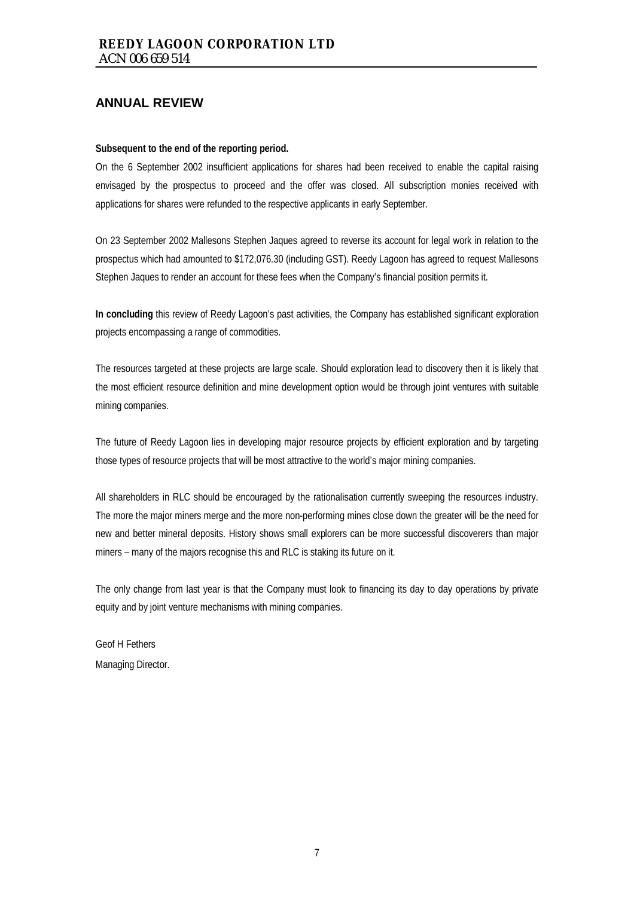#### **Subsequent to the end of the reporting period.**

On the 6 September 2002 insufficient applications for shares had been received to enable the capital raising envisaged by the prospectus to proceed and the offer was closed. All subscription monies received with applications for shares were refunded to the respective applicants in early September.

On 23 September 2002 Mallesons Stephen Jaques agreed to reverse its account for legal work in relation to the prospectus which had amounted to \$172,076.30 (including GST). Reedy Lagoon has agreed to request Mallesons Stephen Jaques to render an account for these fees when the Company's financial position permits it.

**In concluding** this review of Reedy Lagoon's past activities, the Company has established significant exploration projects encompassing a range of commodities.

The resources targeted at these projects are large scale. Should exploration lead to discovery then it is likely that the most efficient resource definition and mine development option would be through joint ventures with suitable mining companies.

The future of Reedy Lagoon lies in developing major resource projects by efficient exploration and by targeting those types of resource projects that will be most attractive to the world's major mining companies.

All shareholders in RLC should be encouraged by the rationalisation currently sweeping the resources industry. The more the major miners merge and the more non-performing mines close down the greater will be the need for new and better mineral deposits. History shows small explorers can be more successful discoverers than major miners – many of the majors recognise this and RLC is staking its future on it.

The only change from last year is that the Company must look to financing its day to day operations by private equity and by joint venture mechanisms with mining companies.

Geof H Fethers Managing Director.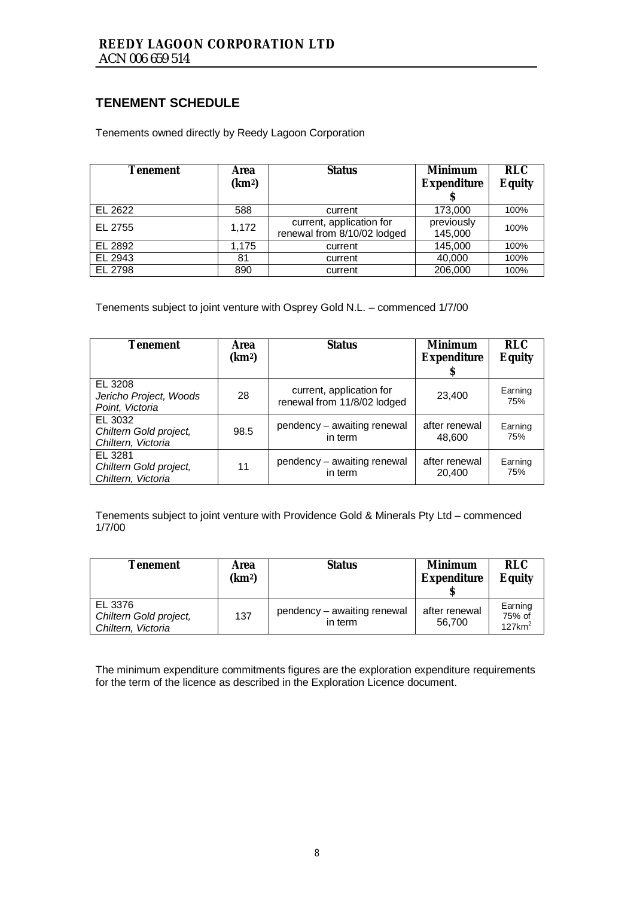# **TENEMENT SCHEDULE**

Tenements owned directly by Reedy Lagoon Corporation

| <b>Tenement</b> | Area<br>(km <sup>2</sup> ) | <b>Status</b>                                           | <b>Minimum</b><br><b>Expenditure</b> | <b>RLC</b><br><b>Equity</b> |
|-----------------|----------------------------|---------------------------------------------------------|--------------------------------------|-----------------------------|
| EL 2622         | 588                        | current                                                 | 173,000                              | 100%                        |
| EL 2755         | 1,172                      | current, application for<br>renewal from 8/10/02 lodged | previously<br>145,000                | 100%                        |
| EL 2892         | 1,175                      | current                                                 | 145,000                              | 100%                        |
| EL 2943         | 81                         | current                                                 | 40,000                               | 100%                        |
| EL 2798         | 890                        | current                                                 | 206,000                              | 100%                        |

Tenements subject to joint venture with Osprey Gold N.L. – commenced 1/7/00

| <b>Tenement</b>                                         | <b>Area</b><br>(km <sup>2</sup> ) | <b>Status</b>                                           | <b>Minimum</b><br><b>Expenditure</b><br>S | <b>RLC</b><br><b>Equity</b> |
|---------------------------------------------------------|-----------------------------------|---------------------------------------------------------|-------------------------------------------|-----------------------------|
| EL 3208<br>Jericho Project, Woods<br>Point, Victoria    | 28                                | current, application for<br>renewal from 11/8/02 lodged | 23,400                                    | Earning<br>75%              |
| EL 3032<br>Chiltern Gold project,<br>Chiltern, Victoria | 98.5                              | pendency – awaiting renewal<br>in term                  | after renewal<br>48,600                   | Earning<br>75%              |
| EL 3281<br>Chiltern Gold project,<br>Chiltern, Victoria | 11                                | pendency - awaiting renewal<br>in term                  | after renewal<br>20,400                   | Earning<br>75%              |

Tenements subject to joint venture with Providence Gold & Minerals Pty Ltd – commenced 1/7/00

| <b>Tenement</b>                                         | Area<br>(km <sup>2</sup> ) | <b>Status</b>                          | <b>Minimum</b><br><b>Expenditure</b> | <b>RLC</b><br><b>Equity</b>                |
|---------------------------------------------------------|----------------------------|----------------------------------------|--------------------------------------|--------------------------------------------|
| EL 3376<br>Chiltern Gold project,<br>Chiltern, Victoria | 137                        | pendency - awaiting renewal<br>in term | after renewal<br>56.700              | Earning<br>75% of<br>$127$ km <sup>2</sup> |

The minimum expenditure commitments figures are the exploration expenditure requirements for the term of the licence as described in the Exploration Licence document.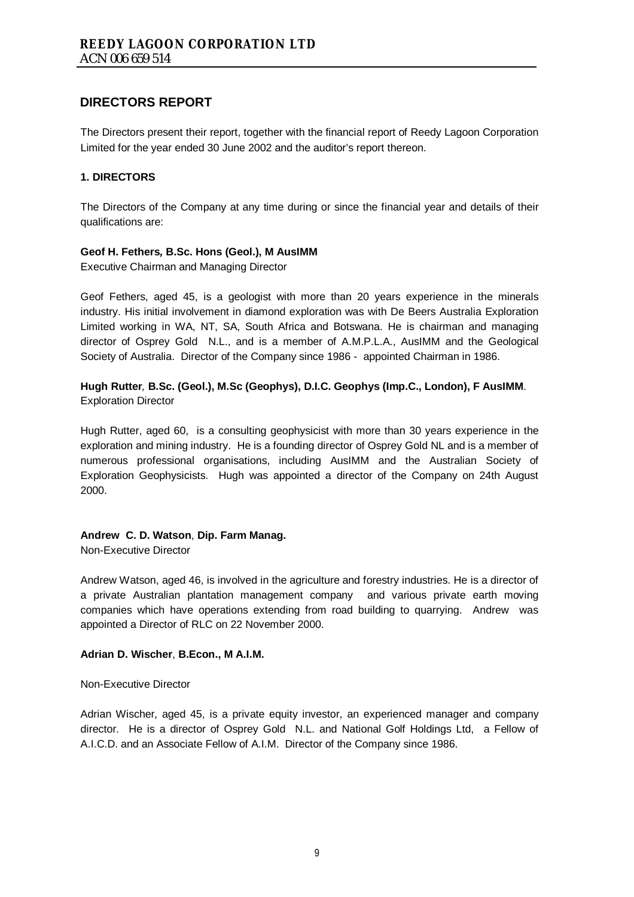The Directors present their report, together with the financial report of Reedy Lagoon Corporation Limited for the year ended 30 June 2002 and the auditor's report thereon.

### **1. DIRECTORS**

The Directors of the Company at any time during or since the financial year and details of their qualifications are:

#### **Geof H. Fethers***,* **B.Sc. Hons (Geol.), M AusIMM**

Executive Chairman and Managing Director

Geof Fethers, aged 45, is a geologist with more than 20 years experience in the minerals industry. His initial involvement in diamond exploration was with De Beers Australia Exploration Limited working in WA, NT, SA, South Africa and Botswana. He is chairman and managing director of Osprey Gold N.L., and is a member of A.M.P.L.A., AusIMM and the Geological Society of Australia. Director of the Company since 1986 - appointed Chairman in 1986.

## **Hugh Rutter***,* **B.Sc. (Geol.), M.Sc (Geophys), D.I.C. Geophys (Imp.C., London), F AusIMM**. Exploration Director

Hugh Rutter, aged 60, is a consulting geophysicist with more than 30 years experience in the exploration and mining industry. He is a founding director of Osprey Gold NL and is a member of numerous professional organisations, including AusIMM and the Australian Society of Exploration Geophysicists. Hugh was appointed a director of the Company on 24th August 2000.

#### **Andrew C. D. Watson**, **Dip. Farm Manag.**

Non-Executive Director

Andrew Watson, aged 46, is involved in the agriculture and forestry industries. He is a director of a private Australian plantation management company and various private earth moving companies which have operations extending from road building to quarrying. Andrew was appointed a Director of RLC on 22 November 2000.

#### **Adrian D. Wischer**, **B.Econ., M A.I.M.**

Non-Executive Director

Adrian Wischer, aged 45, is a private equity investor, an experienced manager and company director. He is a director of Osprey Gold N.L. and National Golf Holdings Ltd, a Fellow of A.I.C.D. and an Associate Fellow of A.I.M. Director of the Company since 1986.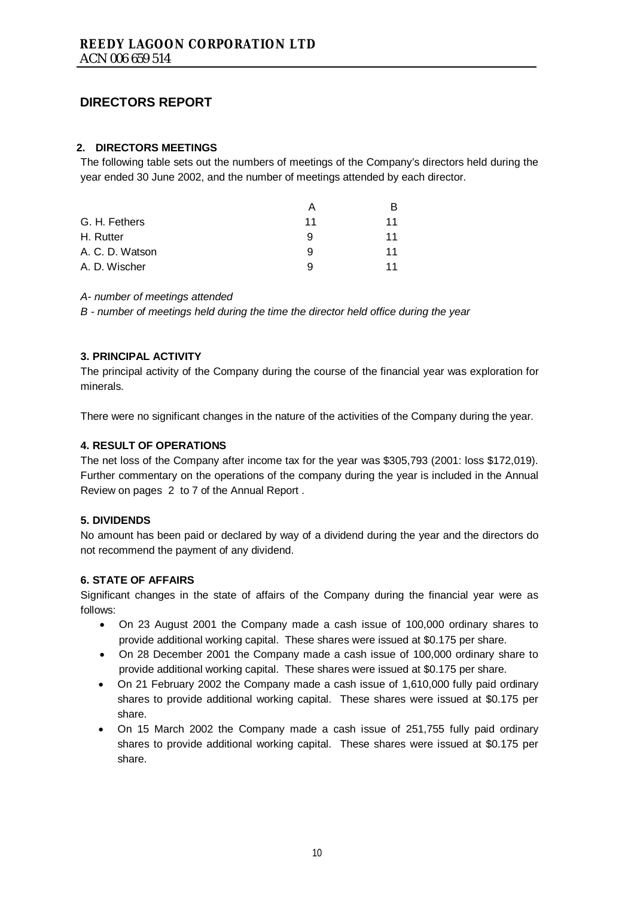### **2. DIRECTORS MEETINGS**

The following table sets out the numbers of meetings of the Company's directors held during the year ended 30 June 2002, and the number of meetings attended by each director.

|                 | Α  |    |
|-----------------|----|----|
| G. H. Fethers   | 11 | 11 |
| H. Rutter       | 9  | 11 |
| A. C. D. Watson | 9  | 11 |
| A. D. Wischer   | a  | 11 |

*A- number of meetings attended* 

*B - number of meetings held during the time the director held office during the year* 

### **3. PRINCIPAL ACTIVITY**

The principal activity of the Company during the course of the financial year was exploration for minerals.

There were no significant changes in the nature of the activities of the Company during the year.

#### **4. RESULT OF OPERATIONS**

The net loss of the Company after income tax for the year was \$305,793 (2001: loss \$172,019). Further commentary on the operations of the company during the year is included in the Annual Review on pages 2 to 7 of the Annual Report .

#### **5. DIVIDENDS**

No amount has been paid or declared by way of a dividend during the year and the directors do not recommend the payment of any dividend.

#### **6. STATE OF AFFAIRS**

Significant changes in the state of affairs of the Company during the financial year were as follows:

- On 23 August 2001 the Company made a cash issue of 100,000 ordinary shares to provide additional working capital. These shares were issued at \$0.175 per share.
- On 28 December 2001 the Company made a cash issue of 100,000 ordinary share to provide additional working capital. These shares were issued at \$0.175 per share.
- On 21 February 2002 the Company made a cash issue of 1,610,000 fully paid ordinary shares to provide additional working capital. These shares were issued at \$0.175 per share.
- On 15 March 2002 the Company made a cash issue of 251,755 fully paid ordinary shares to provide additional working capital. These shares were issued at \$0.175 per share.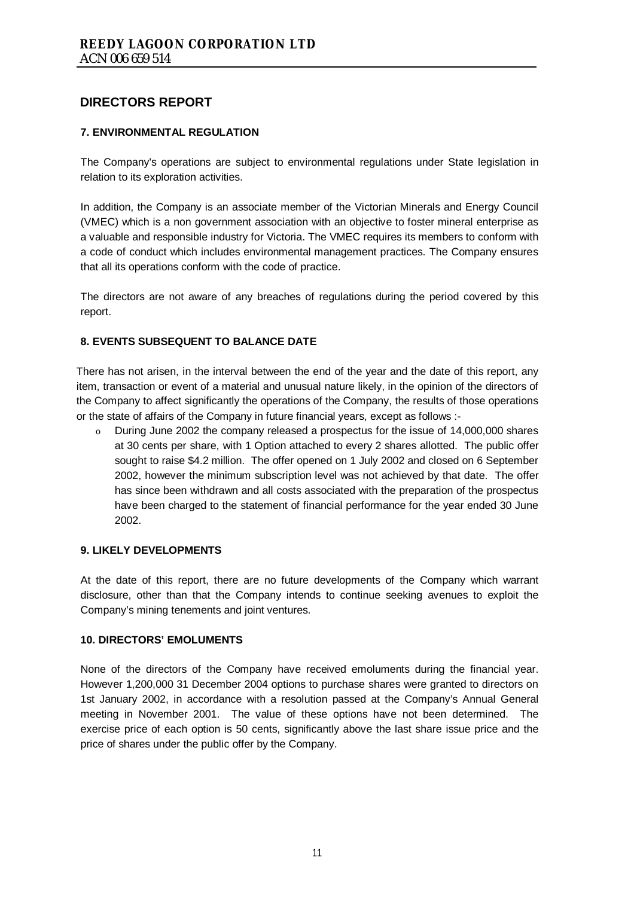## **7. ENVIRONMENTAL REGULATION**

The Company's operations are subject to environmental regulations under State legislation in relation to its exploration activities.

In addition, the Company is an associate member of the Victorian Minerals and Energy Council (VMEC) which is a non government association with an objective to foster mineral enterprise as a valuable and responsible industry for Victoria. The VMEC requires its members to conform with a code of conduct which includes environmental management practices. The Company ensures that all its operations conform with the code of practice.

The directors are not aware of any breaches of regulations during the period covered by this report.

## **8. EVENTS SUBSEQUENT TO BALANCE DATE**

There has not arisen, in the interval between the end of the year and the date of this report, any item, transaction or event of a material and unusual nature likely, in the opinion of the directors of the Company to affect significantly the operations of the Company, the results of those operations or the state of affairs of the Company in future financial years, except as follows :-

o During June 2002 the company released a prospectus for the issue of 14,000,000 shares at 30 cents per share, with 1 Option attached to every 2 shares allotted. The public offer sought to raise \$4.2 million. The offer opened on 1 July 2002 and closed on 6 September 2002, however the minimum subscription level was not achieved by that date. The offer has since been withdrawn and all costs associated with the preparation of the prospectus have been charged to the statement of financial performance for the year ended 30 June 2002.

## **9. LIKELY DEVELOPMENTS**

At the date of this report, there are no future developments of the Company which warrant disclosure, other than that the Company intends to continue seeking avenues to exploit the Company's mining tenements and joint ventures.

#### **10. DIRECTORS' EMOLUMENTS**

None of the directors of the Company have received emoluments during the financial year. However 1,200,000 31 December 2004 options to purchase shares were granted to directors on 1st January 2002, in accordance with a resolution passed at the Company's Annual General meeting in November 2001. The value of these options have not been determined. The exercise price of each option is 50 cents, significantly above the last share issue price and the price of shares under the public offer by the Company.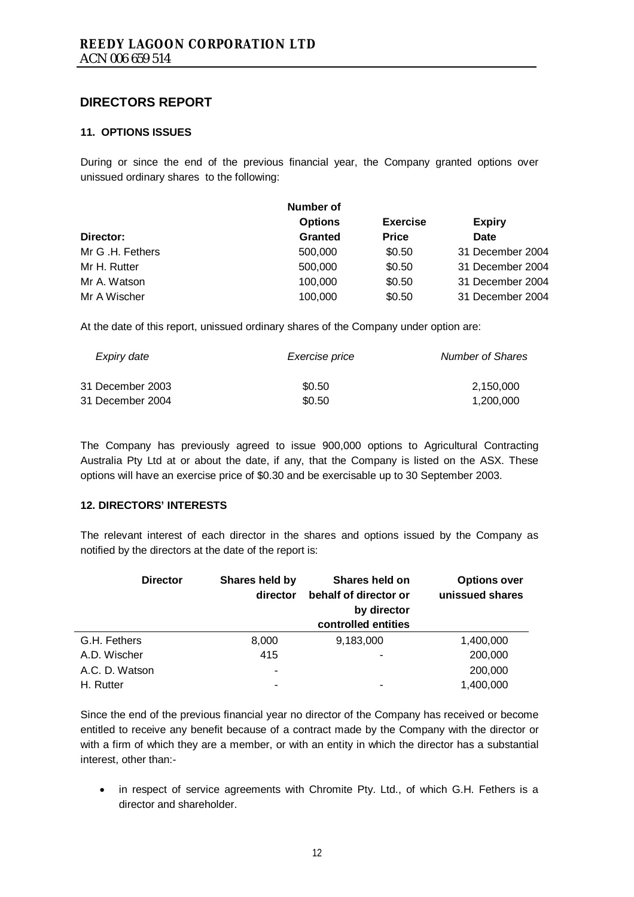### **11. OPTIONS ISSUES**

During or since the end of the previous financial year, the Company granted options over unissued ordinary shares to the following:

| Number of      |                 |                  |
|----------------|-----------------|------------------|
| <b>Options</b> | <b>Exercise</b> | <b>Expiry</b>    |
| <b>Granted</b> | <b>Price</b>    | Date             |
| 500,000        | \$0.50          | 31 December 2004 |
| 500,000        | \$0.50          | 31 December 2004 |
| 100,000        | \$0.50          | 31 December 2004 |
| 100,000        | \$0.50          | 31 December 2004 |
|                |                 |                  |

At the date of this report, unissued ordinary shares of the Company under option are:

| Exercise price | <b>Number of Shares</b> |
|----------------|-------------------------|
| \$0.50         | 2,150,000               |
| \$0.50         | 1.200.000               |
|                |                         |

The Company has previously agreed to issue 900,000 options to Agricultural Contracting Australia Pty Ltd at or about the date, if any, that the Company is listed on the ASX. These options will have an exercise price of \$0.30 and be exercisable up to 30 September 2003.

#### **12. DIRECTORS' INTERESTS**

The relevant interest of each director in the shares and options issued by the Company as notified by the directors at the date of the report is:

| <b>Director</b> | Shares held by<br>director | Shares held on<br>behalf of director or<br>by director<br>controlled entities | <b>Options over</b><br>unissued shares |
|-----------------|----------------------------|-------------------------------------------------------------------------------|----------------------------------------|
| G.H. Fethers    | 8,000                      | 9,183,000                                                                     | 1,400,000                              |
| A.D. Wischer    | 415                        |                                                                               | 200,000                                |
| A.C. D. Watson  | ٠                          |                                                                               | 200,000                                |
| H. Rutter       | -                          | ۰                                                                             | 1,400,000                              |

Since the end of the previous financial year no director of the Company has received or become entitled to receive any benefit because of a contract made by the Company with the director or with a firm of which they are a member, or with an entity in which the director has a substantial interest, other than:-

• in respect of service agreements with Chromite Pty. Ltd., of which G.H. Fethers is a director and shareholder.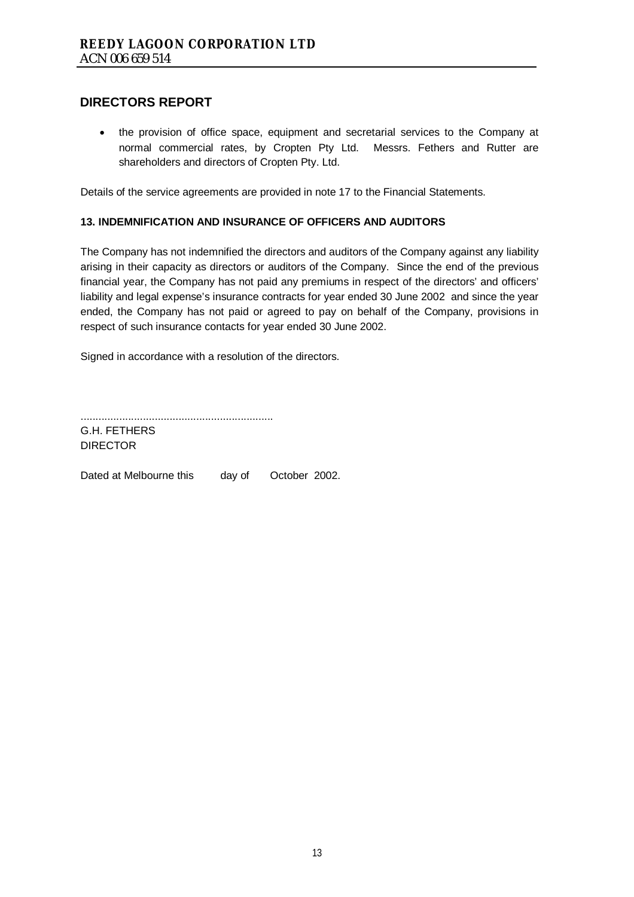• the provision of office space, equipment and secretarial services to the Company at normal commercial rates, by Cropten Pty Ltd. Messrs. Fethers and Rutter are shareholders and directors of Cropten Pty. Ltd.

Details of the service agreements are provided in note 17 to the Financial Statements.

### **13. INDEMNIFICATION AND INSURANCE OF OFFICERS AND AUDITORS**

The Company has not indemnified the directors and auditors of the Company against any liability arising in their capacity as directors or auditors of the Company. Since the end of the previous financial year, the Company has not paid any premiums in respect of the directors' and officers' liability and legal expense's insurance contracts for year ended 30 June 2002 and since the year ended, the Company has not paid or agreed to pay on behalf of the Company, provisions in respect of such insurance contacts for year ended 30 June 2002.

Signed in accordance with a resolution of the directors.

.................................................................

G.H. FETHERS DIRECTOR

Dated at Melbourne this day of October 2002.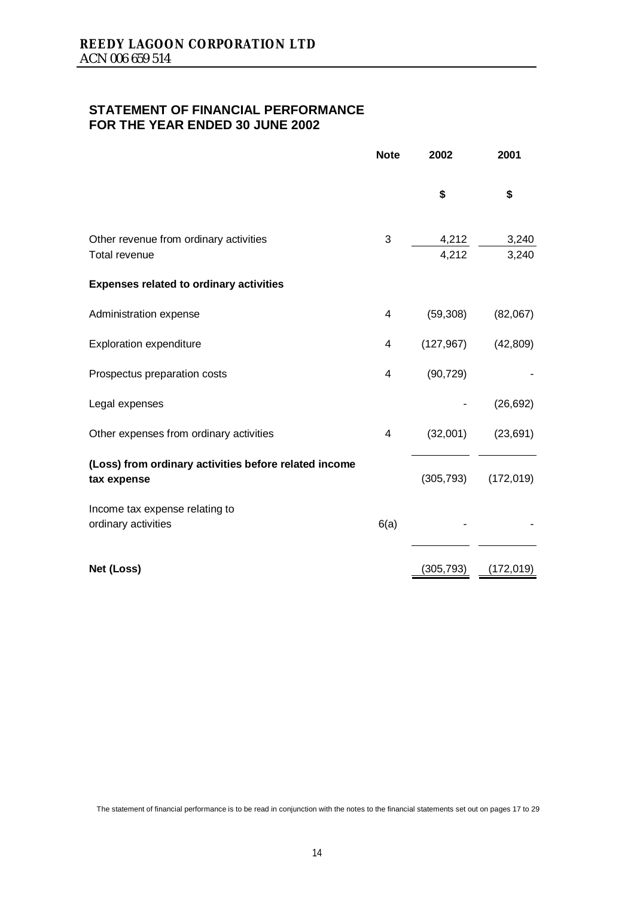## **STATEMENT OF FINANCIAL PERFORMANCE FOR THE YEAR ENDED 30 JUNE 2002**

|                                                                      | <b>Note</b> | 2002           | 2001           |
|----------------------------------------------------------------------|-------------|----------------|----------------|
|                                                                      |             | \$             | \$             |
| Other revenue from ordinary activities<br><b>Total revenue</b>       | 3           | 4,212<br>4,212 | 3,240<br>3,240 |
| <b>Expenses related to ordinary activities</b>                       |             |                |                |
| Administration expense                                               | 4           | (59, 308)      | (82,067)       |
| <b>Exploration expenditure</b>                                       | 4           | (127, 967)     | (42, 809)      |
| Prospectus preparation costs                                         | 4           | (90, 729)      |                |
| Legal expenses                                                       |             |                | (26, 692)      |
| Other expenses from ordinary activities                              | 4           | (32,001)       | (23, 691)      |
| (Loss) from ordinary activities before related income<br>tax expense |             | (305, 793)     | (172, 019)     |
| Income tax expense relating to<br>ordinary activities                | 6(a)        |                |                |
| Net (Loss)                                                           |             | (305, 793)     | (172, 019)     |

The statement of financial performance is to be read in conjunction with the notes to the financial statements set out on pages 17 to 29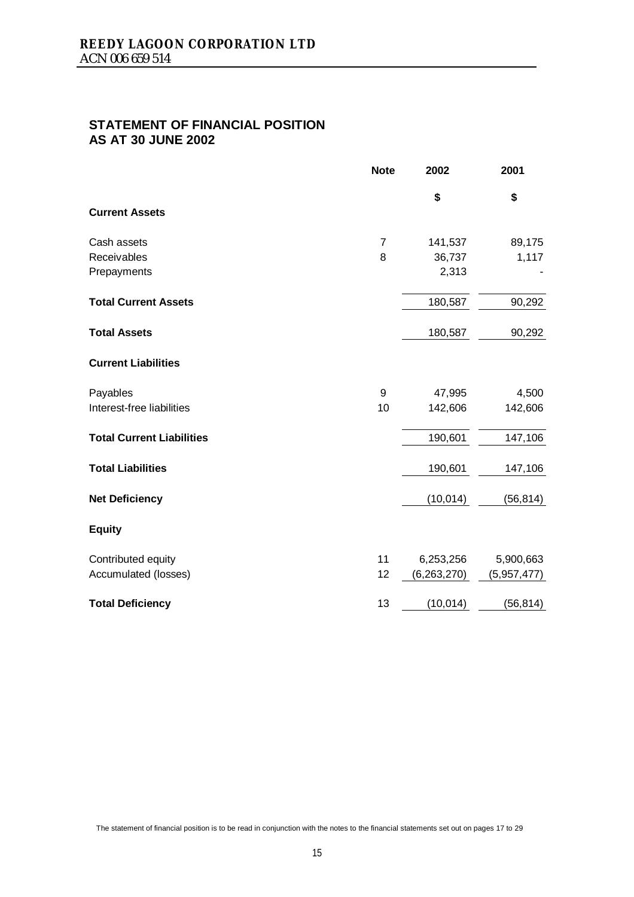# **STATEMENT OF FINANCIAL POSITION AS AT 30 JUNE 2002**

|                                  | <b>Note</b>    | 2002        | 2001        |
|----------------------------------|----------------|-------------|-------------|
|                                  |                | \$          | \$          |
| <b>Current Assets</b>            |                |             |             |
| Cash assets                      | $\overline{7}$ | 141,537     | 89,175      |
| Receivables                      | 8              | 36,737      | 1,117       |
| Prepayments                      |                | 2,313       |             |
| <b>Total Current Assets</b>      |                | 180,587     | 90,292      |
| <b>Total Assets</b>              |                | 180,587     | 90,292      |
| <b>Current Liabilities</b>       |                |             |             |
| Payables                         | 9              | 47,995      | 4,500       |
| Interest-free liabilities        | 10             | 142,606     | 142,606     |
| <b>Total Current Liabilities</b> |                | 190,601     | 147,106     |
| <b>Total Liabilities</b>         |                | 190,601     | 147,106     |
| <b>Net Deficiency</b>            |                | (10, 014)   | (56, 814)   |
| <b>Equity</b>                    |                |             |             |
| Contributed equity               | 11             | 6,253,256   | 5,900,663   |
| Accumulated (losses)             | 12             | (6,263,270) | (5,957,477) |
| <b>Total Deficiency</b>          | 13             | (10, 014)   | (56, 814)   |

The statement of financial position is to be read in conjunction with the notes to the financial statements set out on pages 17 to 29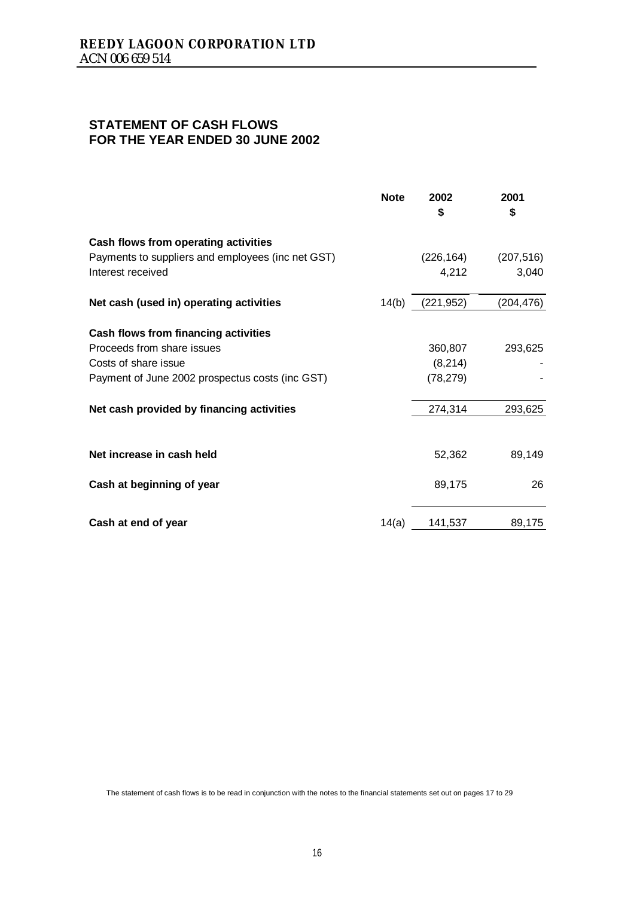# **STATEMENT OF CASH FLOWS FOR THE YEAR ENDED 30 JUNE 2002**

|                                                   | <b>Note</b> | 2002<br>\$ | 2001<br>\$ |
|---------------------------------------------------|-------------|------------|------------|
| Cash flows from operating activities              |             |            |            |
| Payments to suppliers and employees (inc net GST) |             | (226,164)  | (207, 516) |
| Interest received                                 |             | 4,212      | 3,040      |
| Net cash (used in) operating activities           | 14(b)       | (221, 952) | (204, 476) |
| Cash flows from financing activities              |             |            |            |
| Proceeds from share issues                        |             | 360,807    | 293,625    |
| Costs of share issue                              |             | (8,214)    |            |
| Payment of June 2002 prospectus costs (inc GST)   |             | (78, 279)  |            |
| Net cash provided by financing activities         |             | 274,314    | 293,625    |
|                                                   |             |            |            |
| Net increase in cash held                         |             | 52,362     | 89,149     |
| Cash at beginning of year                         |             | 89,175     | 26         |
| Cash at end of year                               | 14(a)       | 141,537    | 89,175     |

The statement of cash flows is to be read in conjunction with the notes to the financial statements set out on pages 17 to 29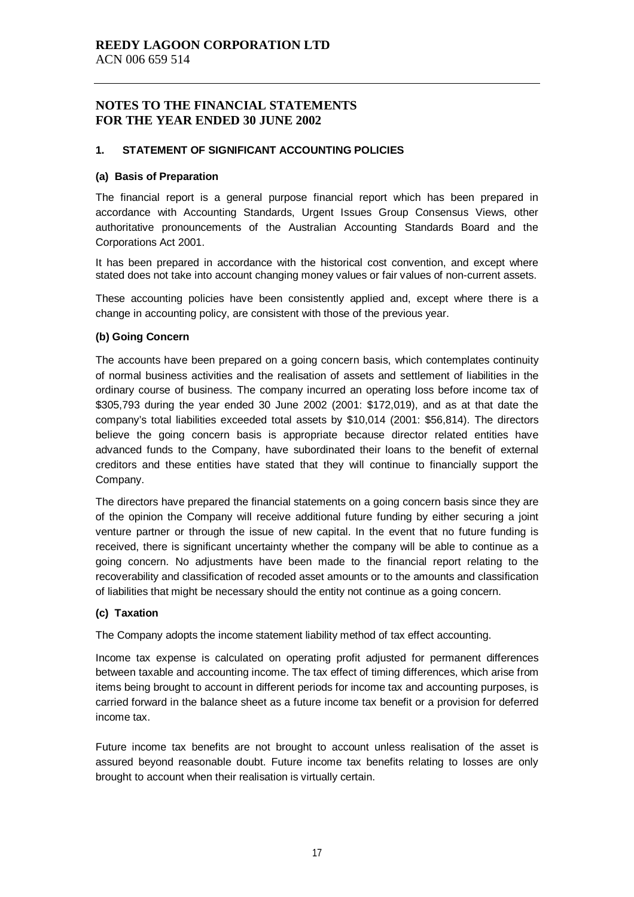#### **1. STATEMENT OF SIGNIFICANT ACCOUNTING POLICIES**

#### **(a) Basis of Preparation**

The financial report is a general purpose financial report which has been prepared in accordance with Accounting Standards, Urgent Issues Group Consensus Views, other authoritative pronouncements of the Australian Accounting Standards Board and the Corporations Act 2001.

It has been prepared in accordance with the historical cost convention, and except where stated does not take into account changing money values or fair values of non-current assets.

These accounting policies have been consistently applied and, except where there is a change in accounting policy, are consistent with those of the previous year.

#### **(b) Going Concern**

The accounts have been prepared on a going concern basis, which contemplates continuity of normal business activities and the realisation of assets and settlement of liabilities in the ordinary course of business. The company incurred an operating loss before income tax of \$305,793 during the year ended 30 June 2002 (2001: \$172,019), and as at that date the company's total liabilities exceeded total assets by \$10,014 (2001: \$56,814). The directors believe the going concern basis is appropriate because director related entities have advanced funds to the Company, have subordinated their loans to the benefit of external creditors and these entities have stated that they will continue to financially support the Company.

The directors have prepared the financial statements on a going concern basis since they are of the opinion the Company will receive additional future funding by either securing a joint venture partner or through the issue of new capital. In the event that no future funding is received, there is significant uncertainty whether the company will be able to continue as a going concern. No adjustments have been made to the financial report relating to the recoverability and classification of recoded asset amounts or to the amounts and classification of liabilities that might be necessary should the entity not continue as a going concern.

#### **(c) Taxation**

The Company adopts the income statement liability method of tax effect accounting.

Income tax expense is calculated on operating profit adjusted for permanent differences between taxable and accounting income. The tax effect of timing differences, which arise from items being brought to account in different periods for income tax and accounting purposes, is carried forward in the balance sheet as a future income tax benefit or a provision for deferred income tax.

Future income tax benefits are not brought to account unless realisation of the asset is assured beyond reasonable doubt. Future income tax benefits relating to losses are only brought to account when their realisation is virtually certain.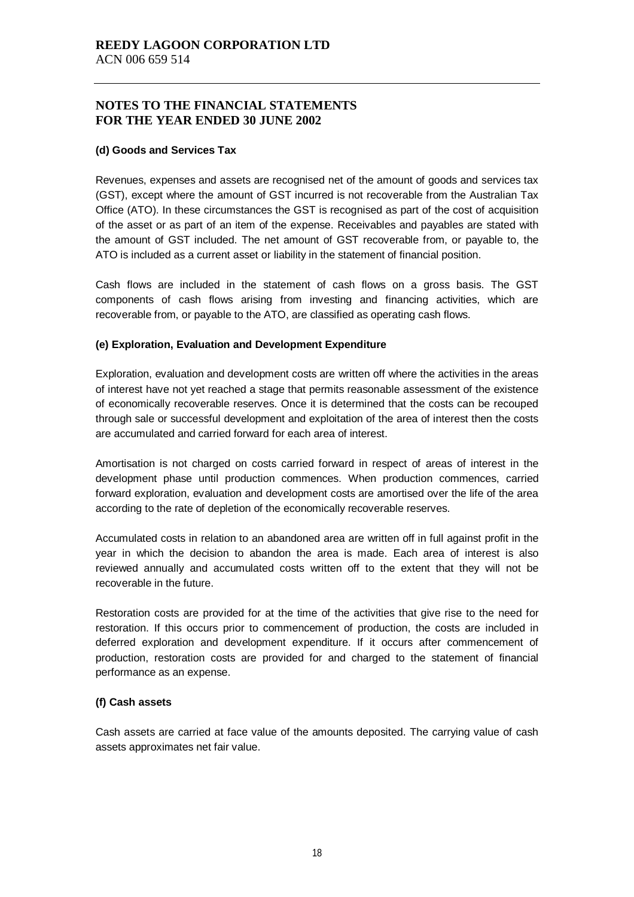#### **(d) Goods and Services Tax**

Revenues, expenses and assets are recognised net of the amount of goods and services tax (GST), except where the amount of GST incurred is not recoverable from the Australian Tax Office (ATO). In these circumstances the GST is recognised as part of the cost of acquisition of the asset or as part of an item of the expense. Receivables and payables are stated with the amount of GST included. The net amount of GST recoverable from, or payable to, the ATO is included as a current asset or liability in the statement of financial position.

Cash flows are included in the statement of cash flows on a gross basis. The GST components of cash flows arising from investing and financing activities, which are recoverable from, or payable to the ATO, are classified as operating cash flows.

#### **(e) Exploration, Evaluation and Development Expenditure**

Exploration, evaluation and development costs are written off where the activities in the areas of interest have not yet reached a stage that permits reasonable assessment of the existence of economically recoverable reserves. Once it is determined that the costs can be recouped through sale or successful development and exploitation of the area of interest then the costs are accumulated and carried forward for each area of interest.

Amortisation is not charged on costs carried forward in respect of areas of interest in the development phase until production commences. When production commences, carried forward exploration, evaluation and development costs are amortised over the life of the area according to the rate of depletion of the economically recoverable reserves.

Accumulated costs in relation to an abandoned area are written off in full against profit in the year in which the decision to abandon the area is made. Each area of interest is also reviewed annually and accumulated costs written off to the extent that they will not be recoverable in the future.

Restoration costs are provided for at the time of the activities that give rise to the need for restoration. If this occurs prior to commencement of production, the costs are included in deferred exploration and development expenditure. If it occurs after commencement of production, restoration costs are provided for and charged to the statement of financial performance as an expense.

#### **(f) Cash assets**

Cash assets are carried at face value of the amounts deposited. The carrying value of cash assets approximates net fair value.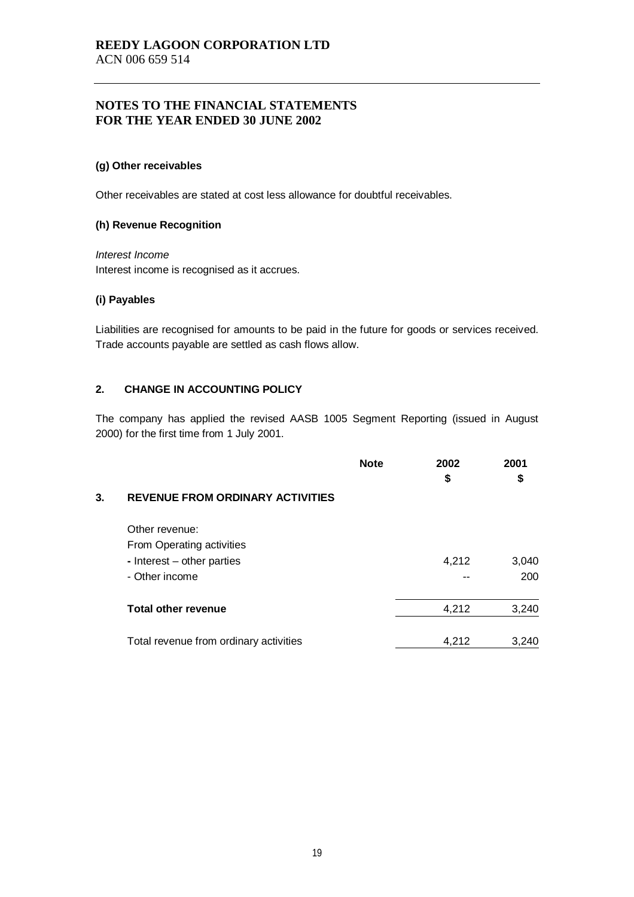#### **(g) Other receivables**

Other receivables are stated at cost less allowance for doubtful receivables.

#### **(h) Revenue Recognition**

#### *Interest Income*

Interest income is recognised as it accrues.

#### **(i) Payables**

Liabilities are recognised for amounts to be paid in the future for goods or services received. Trade accounts payable are settled as cash flows allow.

### **2. CHANGE IN ACCOUNTING POLICY**

The company has applied the revised AASB 1005 Segment Reporting (issued in August 2000) for the first time from 1 July 2001.

|    |                                         | <b>Note</b> | 2002<br>\$ | 2001<br>\$ |
|----|-----------------------------------------|-------------|------------|------------|
| 3. | <b>REVENUE FROM ORDINARY ACTIVITIES</b> |             |            |            |
|    | Other revenue:                          |             |            |            |
|    | From Operating activities               |             |            |            |
|    | - Interest – other parties              |             | 4,212      | 3,040      |
|    | - Other income                          |             |            | 200        |
|    | <b>Total other revenue</b>              |             | 4,212      | 3,240      |
|    | Total revenue from ordinary activities  |             | 4.212      | 3,240      |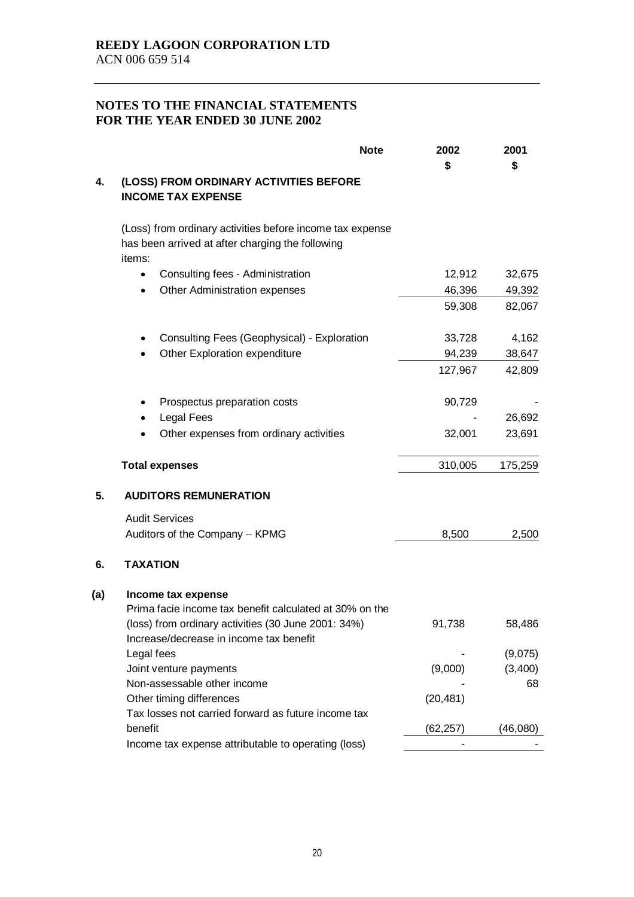|     | <b>Note</b>                                                                                                             | 2002<br>\$ | 2001<br>\$ |
|-----|-------------------------------------------------------------------------------------------------------------------------|------------|------------|
| 4.  | (LOSS) FROM ORDINARY ACTIVITIES BEFORE<br><b>INCOME TAX EXPENSE</b>                                                     |            |            |
|     | (Loss) from ordinary activities before income tax expense<br>has been arrived at after charging the following<br>items: |            |            |
|     | Consulting fees - Administration<br>$\bullet$                                                                           | 12,912     | 32,675     |
|     | Other Administration expenses<br>$\bullet$                                                                              | 46,396     | 49,392     |
|     |                                                                                                                         | 59,308     | 82,067     |
|     | Consulting Fees (Geophysical) - Exploration                                                                             | 33,728     | 4,162      |
|     | Other Exploration expenditure                                                                                           | 94,239     | 38,647     |
|     |                                                                                                                         | 127,967    | 42,809     |
|     | Prospectus preparation costs                                                                                            | 90,729     |            |
|     | <b>Legal Fees</b>                                                                                                       |            | 26,692     |
|     | Other expenses from ordinary activities                                                                                 | 32,001     | 23,691     |
|     | <b>Total expenses</b>                                                                                                   | 310,005    | 175,259    |
| 5.  | <b>AUDITORS REMUNERATION</b>                                                                                            |            |            |
|     | <b>Audit Services</b>                                                                                                   |            |            |
|     | Auditors of the Company - KPMG                                                                                          | 8,500      | 2,500      |
| 6.  | <b>TAXATION</b>                                                                                                         |            |            |
| (a) | Income tax expense                                                                                                      |            |            |
|     | Prima facie income tax benefit calculated at 30% on the                                                                 |            |            |
|     | (loss) from ordinary activities (30 June 2001: 34%)                                                                     | 91,738     | 58,486     |
|     | Increase/decrease in income tax benefit                                                                                 |            |            |
|     | Legal fees                                                                                                              |            | (9,075)    |
|     | Joint venture payments                                                                                                  | (9,000)    | (3,400)    |
|     | Non-assessable other income                                                                                             |            | 68         |
|     | Other timing differences                                                                                                | (20, 481)  |            |
|     | Tax losses not carried forward as future income tax<br>benefit                                                          |            | (46,080)   |
|     | Income tax expense attributable to operating (loss)                                                                     | (62,257)   |            |
|     |                                                                                                                         |            |            |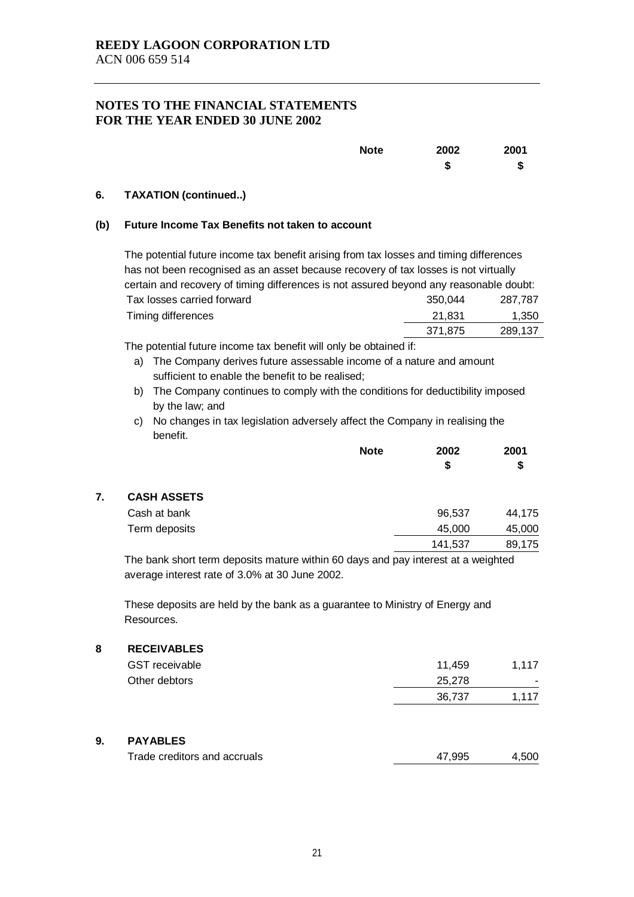| <b>Note</b> | 2002   | 2001 |
|-------------|--------|------|
|             | æ<br>Ð | \$   |

#### **6. TAXATION (continued..)**

#### **(b) Future Income Tax Benefits not taken to account**

| The potential future income tax benefit arising from tax losses and timing differences |         |         |  |  |  |
|----------------------------------------------------------------------------------------|---------|---------|--|--|--|
| has not been recognised as an asset because recovery of tax losses is not virtually    |         |         |  |  |  |
| certain and recovery of timing differences is not assured beyond any reasonable doubt: |         |         |  |  |  |
| Tax losses carried forward<br>287.787<br>350.044                                       |         |         |  |  |  |
| Timing differences                                                                     | 21,831  | 1,350   |  |  |  |
|                                                                                        | 371,875 | 289,137 |  |  |  |

The potential future income tax benefit will only be obtained if:

- a) The Company derives future assessable income of a nature and amount sufficient to enable the benefit to be realised;
- b) The Company continues to comply with the conditions for deductibility imposed by the law; and
- c) No changes in tax legislation adversely affect the Company in realising the benefit.

|                    | <b>Note</b> | 2002<br>\$ |        |  |
|--------------------|-------------|------------|--------|--|
|                    |             |            | \$     |  |
| <b>CASH ASSETS</b> |             |            |        |  |
| Cash at bank       |             | 96,537     | 44,175 |  |
| Term deposits      |             | 45,000     | 45,000 |  |
|                    |             | 141,537    | 89,175 |  |
|                    |             |            |        |  |

The bank short term deposits mature within 60 days and pay interest at a weighted average interest rate of 3.0% at 30 June 2002.

These deposits are held by the bank as a guarantee to Ministry of Energy and Resources.

#### **8 RECEIVABLES**

| <b>GST</b> receivable | 11.459 | 1.117 |
|-----------------------|--------|-------|
| Other debtors         | 25,278 | . .   |
|                       | 36.737 | 1.117 |
|                       |        |       |

### **9. PAYABLES**

| Trade creditors and accruals | 47.995 | 4.500 |
|------------------------------|--------|-------|
|                              |        |       |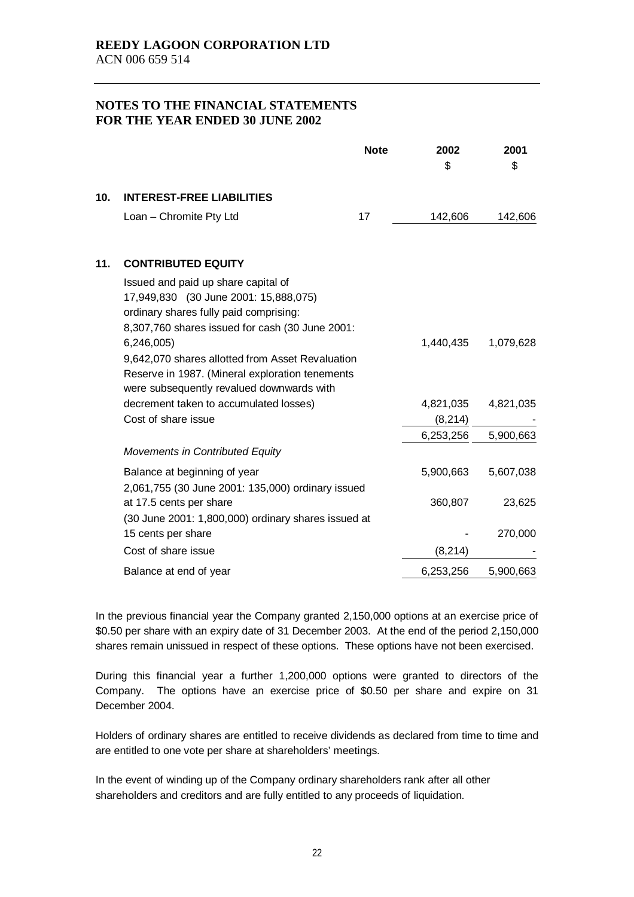|     |                                                                                                                                                                           | <b>Note</b> | 2002<br>\$ | 2001<br>\$ |
|-----|---------------------------------------------------------------------------------------------------------------------------------------------------------------------------|-------------|------------|------------|
| 10. | <b>INTEREST-FREE LIABILITIES</b>                                                                                                                                          |             |            |            |
|     | Loan - Chromite Pty Ltd                                                                                                                                                   | 17          | 142,606    | 142,606    |
| 11. | <b>CONTRIBUTED EQUITY</b>                                                                                                                                                 |             |            |            |
|     | Issued and paid up share capital of<br>17,949,830 (30 June 2001: 15,888,075)<br>ordinary shares fully paid comprising:<br>8,307,760 shares issued for cash (30 June 2001: |             |            |            |
|     | 6,246,005<br>9,642,070 shares allotted from Asset Revaluation<br>Reserve in 1987. (Mineral exploration tenements                                                          |             | 1,440,435  | 1,079,628  |
|     | were subsequently revalued downwards with                                                                                                                                 |             |            |            |
|     | decrement taken to accumulated losses)                                                                                                                                    |             | 4,821,035  | 4,821,035  |
|     | Cost of share issue                                                                                                                                                       |             | (8, 214)   |            |
|     |                                                                                                                                                                           |             | 6,253,256  | 5,900,663  |
|     | <b>Movements in Contributed Equity</b>                                                                                                                                    |             |            |            |
|     | Balance at beginning of year<br>2,061,755 (30 June 2001: 135,000) ordinary issued                                                                                         |             | 5,900,663  | 5,607,038  |
|     | at 17.5 cents per share                                                                                                                                                   |             | 360,807    | 23,625     |
|     | (30 June 2001: 1,800,000) ordinary shares issued at                                                                                                                       |             |            |            |
|     | 15 cents per share                                                                                                                                                        |             |            | 270,000    |
|     | Cost of share issue                                                                                                                                                       |             | (8, 214)   |            |
|     | Balance at end of year                                                                                                                                                    |             | 6,253,256  | 5,900,663  |

In the previous financial year the Company granted 2,150,000 options at an exercise price of \$0.50 per share with an expiry date of 31 December 2003. At the end of the period 2,150,000 shares remain unissued in respect of these options. These options have not been exercised.

During this financial year a further 1,200,000 options were granted to directors of the Company. The options have an exercise price of \$0.50 per share and expire on 31 December 2004.

Holders of ordinary shares are entitled to receive dividends as declared from time to time and are entitled to one vote per share at shareholders' meetings.

In the event of winding up of the Company ordinary shareholders rank after all other shareholders and creditors and are fully entitled to any proceeds of liquidation.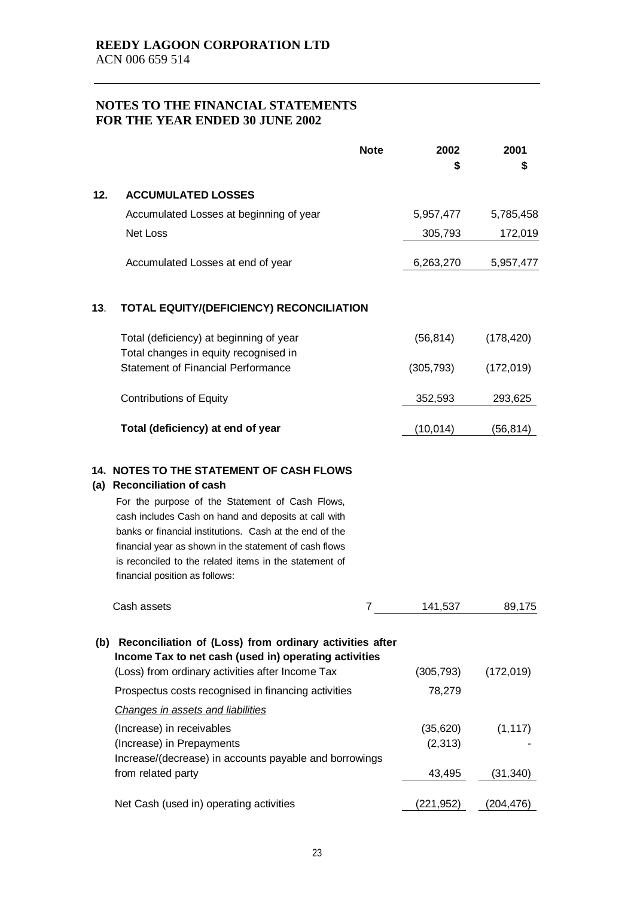|     | <b>Note</b>                                                                                                                                                                                                                                                                                                                                                                                                  | 2002<br>S            | 2001<br>5  |
|-----|--------------------------------------------------------------------------------------------------------------------------------------------------------------------------------------------------------------------------------------------------------------------------------------------------------------------------------------------------------------------------------------------------------------|----------------------|------------|
| 12. | <b>ACCUMULATED LOSSES</b>                                                                                                                                                                                                                                                                                                                                                                                    |                      |            |
|     | Accumulated Losses at beginning of year                                                                                                                                                                                                                                                                                                                                                                      | 5,957,477            | 5,785,458  |
|     | <b>Net Loss</b>                                                                                                                                                                                                                                                                                                                                                                                              | 305,793              | 172,019    |
|     | Accumulated Losses at end of year                                                                                                                                                                                                                                                                                                                                                                            | 6,263,270            | 5,957,477  |
| 13. | TOTAL EQUITY/(DEFICIENCY) RECONCILIATION                                                                                                                                                                                                                                                                                                                                                                     |                      |            |
|     | Total (deficiency) at beginning of year<br>Total changes in equity recognised in                                                                                                                                                                                                                                                                                                                             | (56, 814)            | (178, 420) |
|     | <b>Statement of Financial Performance</b>                                                                                                                                                                                                                                                                                                                                                                    | (305, 793)           | (172, 019) |
|     | <b>Contributions of Equity</b>                                                                                                                                                                                                                                                                                                                                                                               | 352,593              | 293,625    |
|     | Total (deficiency) at end of year                                                                                                                                                                                                                                                                                                                                                                            | (10, 014)            | (56, 814)  |
| (a) | <b>14. NOTES TO THE STATEMENT OF CASH FLOWS</b><br><b>Reconciliation of cash</b><br>For the purpose of the Statement of Cash Flows,<br>cash includes Cash on hand and deposits at call with<br>banks or financial institutions. Cash at the end of the<br>financial year as shown in the statement of cash flows<br>is reconciled to the related items in the statement of<br>financial position as follows: |                      |            |
|     | Cash assets<br>7                                                                                                                                                                                                                                                                                                                                                                                             | 141,537              | 89,175     |
|     | (b) Reconciliation of (Loss) from ordinary activities after<br>Income Tax to net cash (used in) operating activities<br>(Loss) from ordinary activities after Income Tax<br>Prospectus costs recognised in financing activities                                                                                                                                                                              | (305, 793)<br>78,279 | (172, 019) |
|     | Changes in assets and liabilities                                                                                                                                                                                                                                                                                                                                                                            |                      |            |
|     | (Increase) in receivables<br>(Increase) in Prepayments<br>Increase/(decrease) in accounts payable and borrowings                                                                                                                                                                                                                                                                                             | (35,620)<br>(2,313)  | (1, 117)   |
|     | from related party                                                                                                                                                                                                                                                                                                                                                                                           | 43,495               | (31, 340)  |
|     | Net Cash (used in) operating activities                                                                                                                                                                                                                                                                                                                                                                      | (221, 952)           | (204, 476) |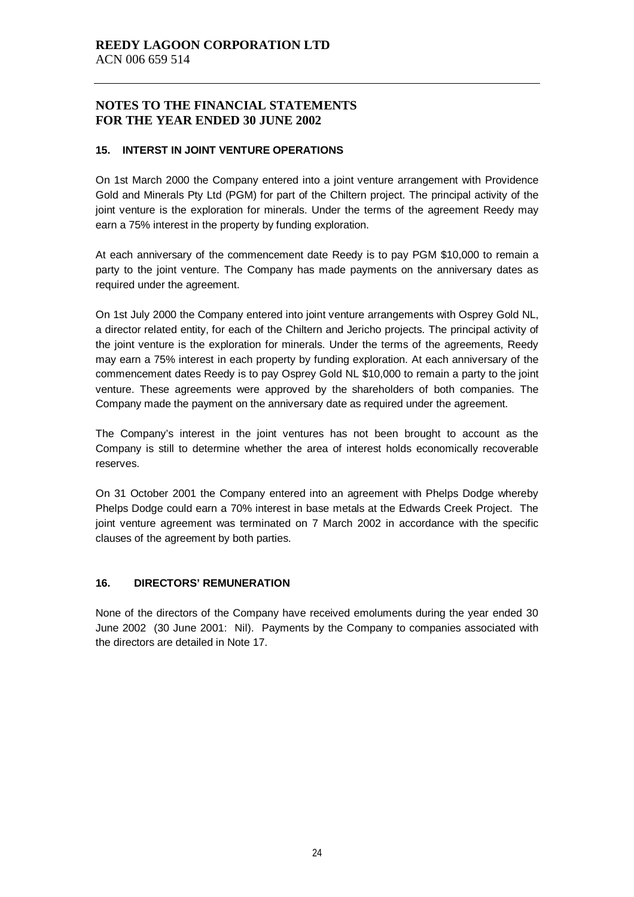#### **15. INTERST IN JOINT VENTURE OPERATIONS**

On 1st March 2000 the Company entered into a joint venture arrangement with Providence Gold and Minerals Pty Ltd (PGM) for part of the Chiltern project. The principal activity of the joint venture is the exploration for minerals. Under the terms of the agreement Reedy may earn a 75% interest in the property by funding exploration.

At each anniversary of the commencement date Reedy is to pay PGM \$10,000 to remain a party to the joint venture. The Company has made payments on the anniversary dates as required under the agreement.

On 1st July 2000 the Company entered into joint venture arrangements with Osprey Gold NL, a director related entity, for each of the Chiltern and Jericho projects. The principal activity of the joint venture is the exploration for minerals. Under the terms of the agreements, Reedy may earn a 75% interest in each property by funding exploration. At each anniversary of the commencement dates Reedy is to pay Osprey Gold NL \$10,000 to remain a party to the joint venture. These agreements were approved by the shareholders of both companies. The Company made the payment on the anniversary date as required under the agreement.

The Company's interest in the joint ventures has not been brought to account as the Company is still to determine whether the area of interest holds economically recoverable reserves.

On 31 October 2001 the Company entered into an agreement with Phelps Dodge whereby Phelps Dodge could earn a 70% interest in base metals at the Edwards Creek Project. The joint venture agreement was terminated on 7 March 2002 in accordance with the specific clauses of the agreement by both parties.

#### **16. DIRECTORS' REMUNERATION**

None of the directors of the Company have received emoluments during the year ended 30 June 2002 (30 June 2001: Nil). Payments by the Company to companies associated with the directors are detailed in Note 17.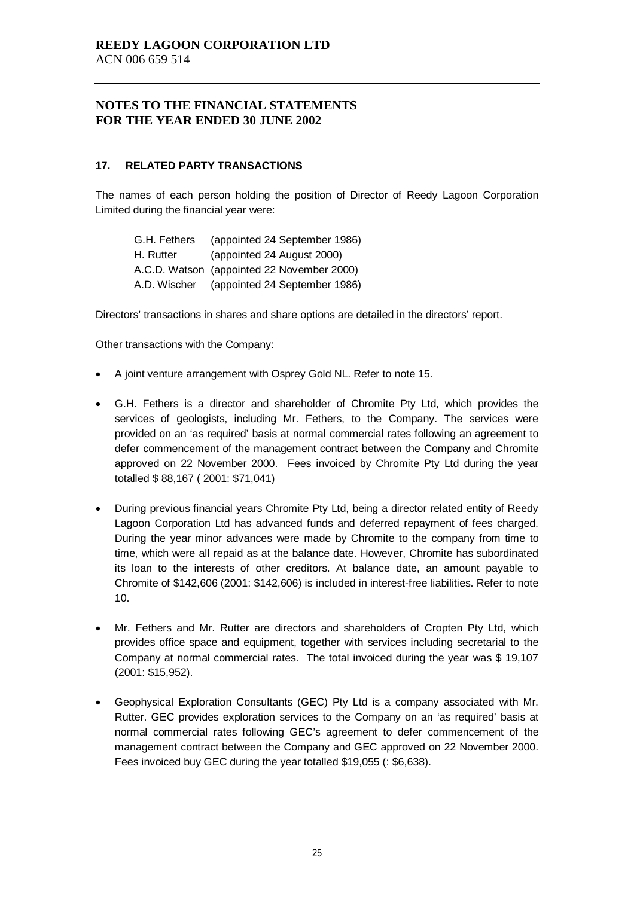#### **17. RELATED PARTY TRANSACTIONS**

The names of each person holding the position of Director of Reedy Lagoon Corporation Limited during the financial year were:

| G.H. Fethers | (appointed 24 September 1986)              |
|--------------|--------------------------------------------|
| H. Rutter    | (appointed 24 August 2000)                 |
|              | A.C.D. Watson (appointed 22 November 2000) |
| A.D. Wischer | (appointed 24 September 1986)              |

Directors' transactions in shares and share options are detailed in the directors' report.

Other transactions with the Company:

- A joint venture arrangement with Osprey Gold NL. Refer to note 15.
- G.H. Fethers is a director and shareholder of Chromite Pty Ltd, which provides the services of geologists, including Mr. Fethers, to the Company. The services were provided on an 'as required' basis at normal commercial rates following an agreement to defer commencement of the management contract between the Company and Chromite approved on 22 November 2000. Fees invoiced by Chromite Pty Ltd during the year totalled \$ 88,167 ( 2001: \$71,041)
- During previous financial years Chromite Pty Ltd, being a director related entity of Reedy Lagoon Corporation Ltd has advanced funds and deferred repayment of fees charged. During the year minor advances were made by Chromite to the company from time to time, which were all repaid as at the balance date. However, Chromite has subordinated its loan to the interests of other creditors. At balance date, an amount payable to Chromite of \$142,606 (2001: \$142,606) is included in interest-free liabilities. Refer to note 10.
- Mr. Fethers and Mr. Rutter are directors and shareholders of Cropten Pty Ltd, which provides office space and equipment, together with services including secretarial to the Company at normal commercial rates. The total invoiced during the year was \$ 19,107 (2001: \$15,952).
- Geophysical Exploration Consultants (GEC) Pty Ltd is a company associated with Mr. Rutter. GEC provides exploration services to the Company on an 'as required' basis at normal commercial rates following GEC's agreement to defer commencement of the management contract between the Company and GEC approved on 22 November 2000. Fees invoiced buy GEC during the year totalled \$19,055 (: \$6,638).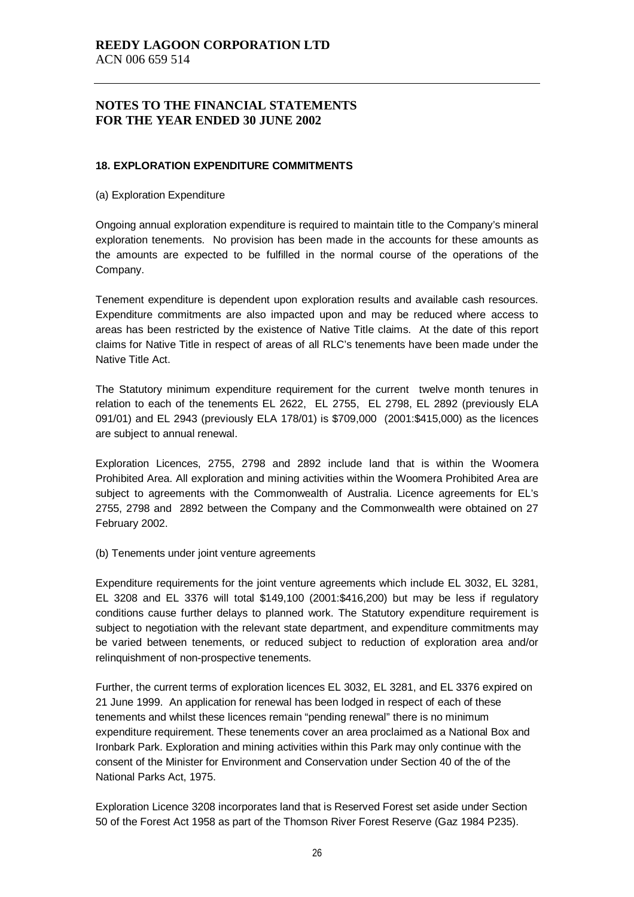#### **18. EXPLORATION EXPENDITURE COMMITMENTS**

(a) Exploration Expenditure

Ongoing annual exploration expenditure is required to maintain title to the Company's mineral exploration tenements. No provision has been made in the accounts for these amounts as the amounts are expected to be fulfilled in the normal course of the operations of the Company.

Tenement expenditure is dependent upon exploration results and available cash resources. Expenditure commitments are also impacted upon and may be reduced where access to areas has been restricted by the existence of Native Title claims. At the date of this report claims for Native Title in respect of areas of all RLC's tenements have been made under the Native Title Act.

The Statutory minimum expenditure requirement for the current twelve month tenures in relation to each of the tenements EL 2622, EL 2755, EL 2798, EL 2892 (previously ELA 091/01) and EL 2943 (previously ELA 178/01) is \$709,000 (2001:\$415,000) as the licences are subject to annual renewal.

Exploration Licences, 2755, 2798 and 2892 include land that is within the Woomera Prohibited Area. All exploration and mining activities within the Woomera Prohibited Area are subject to agreements with the Commonwealth of Australia. Licence agreements for EL's 2755, 2798 and 2892 between the Company and the Commonwealth were obtained on 27 February 2002.

(b) Tenements under joint venture agreements

Expenditure requirements for the joint venture agreements which include EL 3032, EL 3281, EL 3208 and EL 3376 will total \$149,100 (2001:\$416,200) but may be less if regulatory conditions cause further delays to planned work. The Statutory expenditure requirement is subject to negotiation with the relevant state department, and expenditure commitments may be varied between tenements, or reduced subject to reduction of exploration area and/or relinquishment of non-prospective tenements.

Further, the current terms of exploration licences EL 3032, EL 3281, and EL 3376 expired on 21 June 1999. An application for renewal has been lodged in respect of each of these tenements and whilst these licences remain "pending renewal" there is no minimum expenditure requirement. These tenements cover an area proclaimed as a National Box and Ironbark Park. Exploration and mining activities within this Park may only continue with the consent of the Minister for Environment and Conservation under Section 40 of the of the National Parks Act, 1975.

Exploration Licence 3208 incorporates land that is Reserved Forest set aside under Section 50 of the Forest Act 1958 as part of the Thomson River Forest Reserve (Gaz 1984 P235).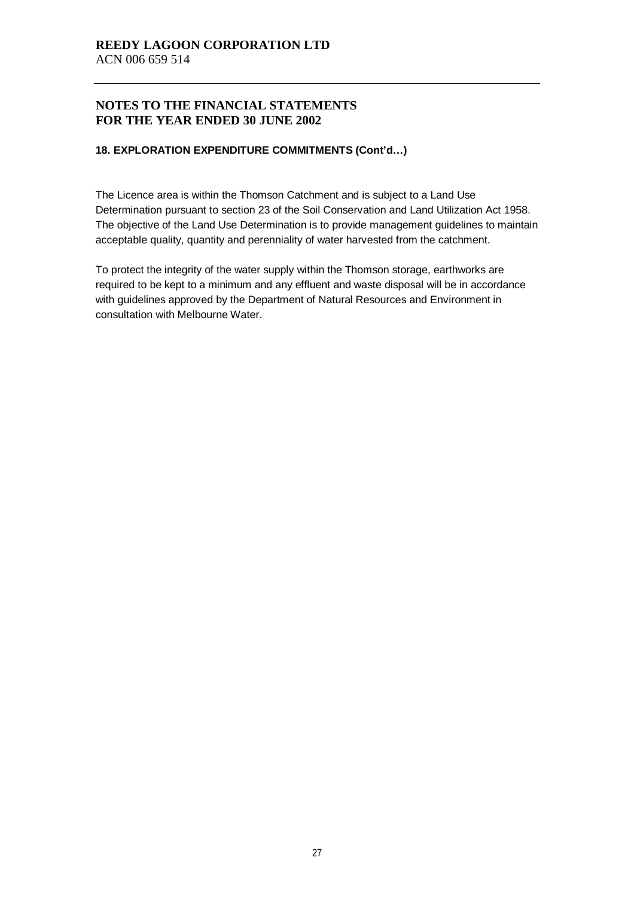#### **18. EXPLORATION EXPENDITURE COMMITMENTS (Cont'd…)**

The Licence area is within the Thomson Catchment and is subject to a Land Use Determination pursuant to section 23 of the Soil Conservation and Land Utilization Act 1958. The objective of the Land Use Determination is to provide management guidelines to maintain acceptable quality, quantity and perenniality of water harvested from the catchment.

To protect the integrity of the water supply within the Thomson storage, earthworks are required to be kept to a minimum and any effluent and waste disposal will be in accordance with guidelines approved by the Department of Natural Resources and Environment in consultation with Melbourne Water.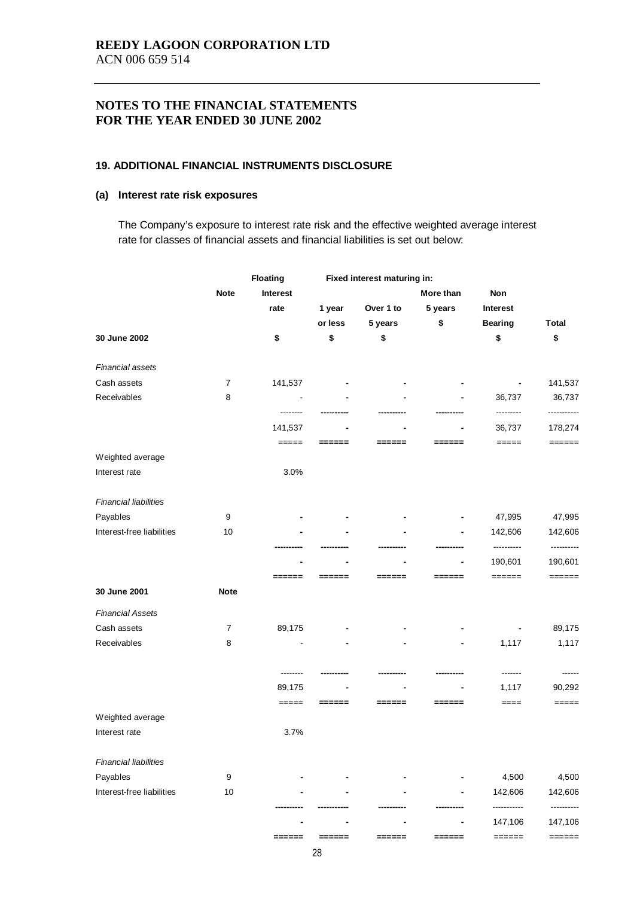#### **19. ADDITIONAL FINANCIAL INSTRUMENTS DISCLOSURE**

### **(a) Interest rate risk exposures**

The Company's exposure to interest rate risk and the effective weighted average interest rate for classes of financial assets and financial liabilities is set out below:

|                              |                  | Floating                                                  |         | Fixed interest maturing in: |                                                           |                     |                                                                  |
|------------------------------|------------------|-----------------------------------------------------------|---------|-----------------------------|-----------------------------------------------------------|---------------------|------------------------------------------------------------------|
|                              | <b>Note</b>      | Interest                                                  |         |                             | More than                                                 | Non                 |                                                                  |
|                              |                  | rate                                                      | 1 year  | Over 1 to                   | 5 years                                                   | Interest            |                                                                  |
|                              |                  |                                                           | or less | 5 years                     | \$                                                        | <b>Bearing</b>      | <b>Total</b>                                                     |
| 30 June 2002                 |                  | \$                                                        | \$      | \$                          |                                                           | \$                  | \$                                                               |
| Financial assets             |                  |                                                           |         |                             |                                                           |                     |                                                                  |
| Cash assets                  | 7                | 141,537                                                   |         |                             |                                                           |                     | 141,537                                                          |
| Receivables                  | 8                |                                                           |         |                             |                                                           | 36,737              | 36,737                                                           |
|                              |                  | --------<br>141,537                                       |         |                             |                                                           | ---------<br>36,737 | -----------<br>178,274                                           |
|                              |                  | $\qquad \qquad \displaystyle == = =$                      | ===     | ==                          | ≕                                                         | $=====$             | $\qquad \qquad \equiv \equiv \equiv \equiv \equiv \equiv \equiv$ |
| Weighted average             |                  |                                                           |         |                             |                                                           |                     |                                                                  |
| Interest rate                |                  | 3.0%                                                      |         |                             |                                                           |                     |                                                                  |
| <b>Financial liabilities</b> |                  |                                                           |         |                             |                                                           |                     |                                                                  |
| Payables                     | 9                |                                                           |         |                             |                                                           | 47,995              | 47,995                                                           |
| Interest-free liabilities    | 10               |                                                           |         |                             |                                                           | 142,606             | 142,606                                                          |
|                              |                  |                                                           |         |                             |                                                           | ----------          | ----------                                                       |
|                              |                  |                                                           |         |                             |                                                           | 190,601             | 190,601                                                          |
| 30 June 2001                 | <b>Note</b>      | $\qquad \qquad \equiv \equiv \equiv \equiv \equiv \equiv$ | ===     | ==                          | ===                                                       | ======              | $\qquad \qquad \equiv \equiv \equiv \equiv \equiv \equiv \equiv$ |
|                              |                  |                                                           |         |                             |                                                           |                     |                                                                  |
| <b>Financial Assets</b>      |                  |                                                           |         |                             |                                                           |                     |                                                                  |
| Cash assets                  | $\overline{7}$   | 89,175                                                    |         |                             |                                                           |                     | 89,175                                                           |
| Receivables                  | 8                |                                                           |         |                             |                                                           | 1,117               | 1,117                                                            |
|                              |                  | --------                                                  |         |                             |                                                           |                     |                                                                  |
|                              |                  | 89,175                                                    |         |                             |                                                           | 1,117               | 90,292                                                           |
|                              |                  | $=====$                                                   | ======  | ======                      | $\qquad \qquad \equiv \equiv \equiv \equiv \equiv \equiv$ | $====$              | $== == ==$                                                       |
| Weighted average             |                  |                                                           |         |                             |                                                           |                     |                                                                  |
| Interest rate                |                  | 3.7%                                                      |         |                             |                                                           |                     |                                                                  |
| <b>Financial liabilities</b> |                  |                                                           |         |                             |                                                           |                     |                                                                  |
| Payables                     | $\boldsymbol{9}$ |                                                           |         |                             |                                                           | 4,500               | 4,500                                                            |
| Interest-free liabilities    | 10               |                                                           |         |                             |                                                           | 142,606             | 142,606                                                          |
|                              |                  |                                                           |         |                             |                                                           |                     |                                                                  |
|                              |                  |                                                           |         |                             |                                                           | 147,106             | 147,106                                                          |
|                              |                  | ======                                                    | ======  | ======                      | $\qquad \qquad \equiv \equiv \equiv \equiv \equiv \equiv$ | ======              | $\qquad \qquad \equiv \equiv \equiv \equiv \equiv \equiv$        |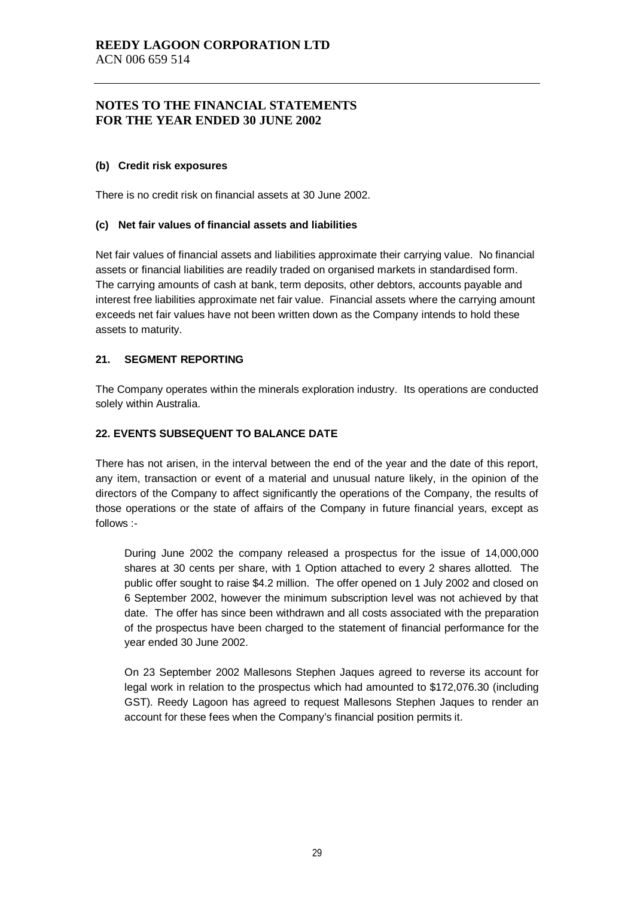#### **(b) Credit risk exposures**

There is no credit risk on financial assets at 30 June 2002.

#### **(c) Net fair values of financial assets and liabilities**

Net fair values of financial assets and liabilities approximate their carrying value. No financial assets or financial liabilities are readily traded on organised markets in standardised form. The carrying amounts of cash at bank, term deposits, other debtors, accounts payable and interest free liabilities approximate net fair value. Financial assets where the carrying amount exceeds net fair values have not been written down as the Company intends to hold these assets to maturity.

#### **21. SEGMENT REPORTING**

The Company operates within the minerals exploration industry. Its operations are conducted solely within Australia.

#### **22. EVENTS SUBSEQUENT TO BALANCE DATE**

There has not arisen, in the interval between the end of the year and the date of this report, any item, transaction or event of a material and unusual nature likely, in the opinion of the directors of the Company to affect significantly the operations of the Company, the results of those operations or the state of affairs of the Company in future financial years, except as follows :-

During June 2002 the company released a prospectus for the issue of 14,000,000 shares at 30 cents per share, with 1 Option attached to every 2 shares allotted. The public offer sought to raise \$4.2 million. The offer opened on 1 July 2002 and closed on 6 September 2002, however the minimum subscription level was not achieved by that date. The offer has since been withdrawn and all costs associated with the preparation of the prospectus have been charged to the statement of financial performance for the year ended 30 June 2002.

On 23 September 2002 Mallesons Stephen Jaques agreed to reverse its account for legal work in relation to the prospectus which had amounted to \$172,076.30 (including GST). Reedy Lagoon has agreed to request Mallesons Stephen Jaques to render an account for these fees when the Company's financial position permits it.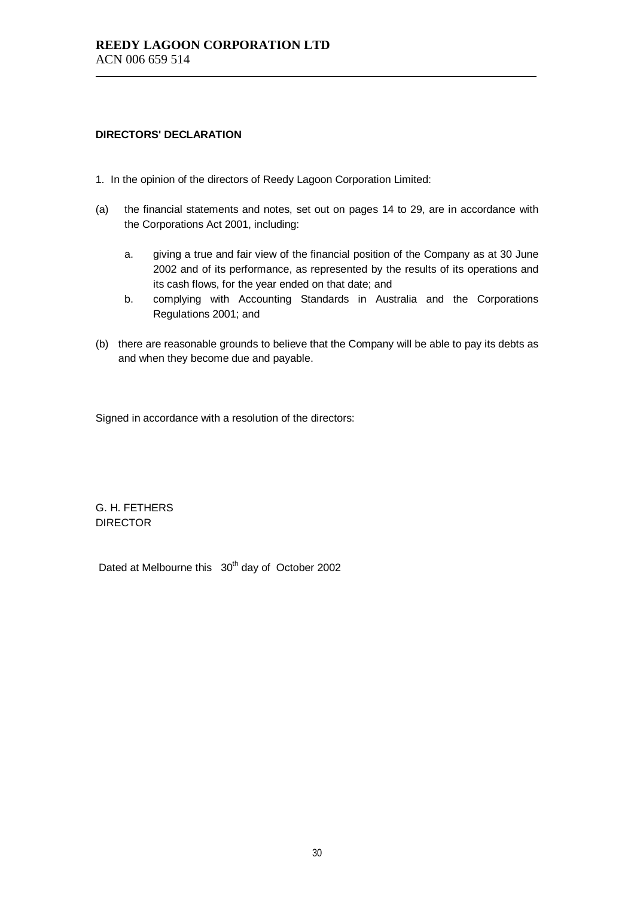#### **DIRECTORS' DECLARATION**

- 1. In the opinion of the directors of Reedy Lagoon Corporation Limited:
- (a) the financial statements and notes, set out on pages 14 to 29, are in accordance with the Corporations Act 2001, including:
	- a. giving a true and fair view of the financial position of the Company as at 30 June 2002 and of its performance, as represented by the results of its operations and its cash flows, for the year ended on that date; and
	- b. complying with Accounting Standards in Australia and the Corporations Regulations 2001; and
- (b) there are reasonable grounds to believe that the Company will be able to pay its debts as and when they become due and payable.

Signed in accordance with a resolution of the directors:

G. H. FETHERS DIRECTOR

Dated at Melbourne this 30<sup>th</sup> day of October 2002